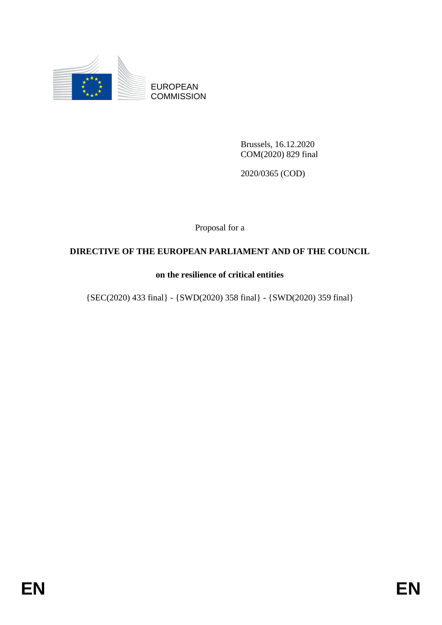

EUROPEAN **COMMISSION** 

> Brussels, 16.12.2020 COM(2020) 829 final

2020/0365 (COD)

Proposal for a

## **DIRECTIVE OF THE EUROPEAN PARLIAMENT AND OF THE COUNCIL**

## **on the resilience of critical entities**

{SEC(2020) 433 final} - {SWD(2020) 358 final} - {SWD(2020) 359 final}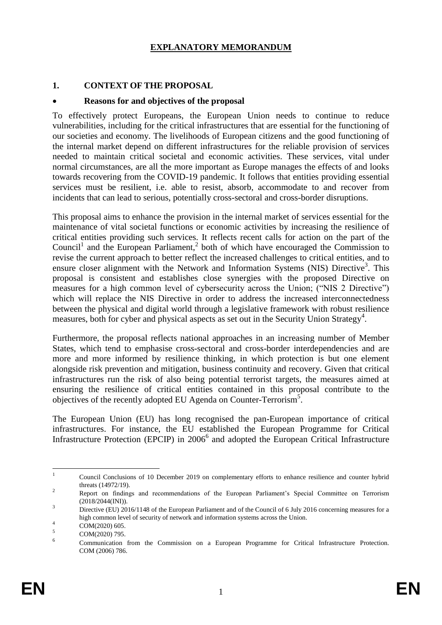#### **EXPLANATORY MEMORANDUM**

#### **1. CONTEXT OF THE PROPOSAL**

#### **Reasons for and objectives of the proposal**

To effectively protect Europeans, the European Union needs to continue to reduce vulnerabilities, including for the critical infrastructures that are essential for the functioning of our societies and economy. The livelihoods of European citizens and the good functioning of the internal market depend on different infrastructures for the reliable provision of services needed to maintain critical societal and economic activities. These services, vital under normal circumstances, are all the more important as Europe manages the effects of and looks towards recovering from the COVID-19 pandemic. It follows that entities providing essential services must be resilient, i.e. able to resist, absorb, accommodate to and recover from incidents that can lead to serious, potentially cross-sectoral and cross-border disruptions.

This proposal aims to enhance the provision in the internal market of services essential for the maintenance of vital societal functions or economic activities by increasing the resilience of critical entities providing such services. It reflects recent calls for action on the part of the Council<sup>1</sup> and the European Parliament,<sup>2</sup> both of which have encouraged the Commission to revise the current approach to better reflect the increased challenges to critical entities, and to ensure closer alignment with the Network and Information Systems (NIS) Directive<sup>3</sup>. This proposal is consistent and establishes close synergies with the proposed Directive on measures for a high common level of cybersecurity across the Union; ("NIS 2 Directive") which will replace the NIS Directive in order to address the increased interconnectedness between the physical and digital world through a legislative framework with robust resilience measures, both for cyber and physical aspects as set out in the Security Union Strategy<sup>4</sup>.

Furthermore, the proposal reflects national approaches in an increasing number of Member States, which tend to emphasise cross-sectoral and cross-border interdependencies and are more and more informed by resilience thinking, in which protection is but one element alongside risk prevention and mitigation, business continuity and recovery. Given that critical infrastructures run the risk of also being potential terrorist targets, the measures aimed at ensuring the resilience of critical entities contained in this proposal contribute to the objectives of the recently adopted EU Agenda on Counter-Terrorism<sup>5</sup>.

The European Union (EU) has long recognised the pan-European importance of critical infrastructures. For instance, the EU established the European Programme for Critical Infrastructure Protection (EPCIP) in 2006<sup>6</sup> and adopted the European Critical Infrastructure

 $\frac{1}{1}$ Council Conclusions of 10 December 2019 on complementary efforts to enhance resilience and counter hybrid threats (14972/19). 2

Report on findings and recommendations of the European Parliament's Special Committee on Terrorism (2018/2044(INI)).

<sup>&</sup>lt;sup>3</sup> Directive (EU) 2016/1148 of the European Parliament and of the Council of 6 July 2016 concerning measures for a high common level of security of network and information systems across the Union. 4

COM(2020) 605. 5

COM(2020) 795. 6

Communication from the Commission on a European Programme for Critical Infrastructure Protection. COM (2006) 786.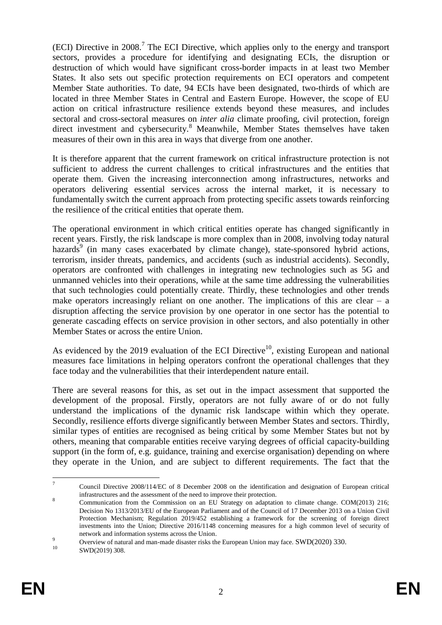$(ECI)$  Directive in 2008.<sup>7</sup> The ECI Directive, which applies only to the energy and transport sectors, provides a procedure for identifying and designating ECIs, the disruption or destruction of which would have significant cross-border impacts in at least two Member States. It also sets out specific protection requirements on ECI operators and competent Member State authorities. To date, 94 ECIs have been designated, two-thirds of which are located in three Member States in Central and Eastern Europe. However, the scope of EU action on critical infrastructure resilience extends beyond these measures, and includes sectoral and cross-sectoral measures on *inter alia* climate proofing, civil protection, foreign direct investment and cybersecurity.<sup>8</sup> Meanwhile, Member States themselves have taken measures of their own in this area in ways that diverge from one another.

It is therefore apparent that the current framework on critical infrastructure protection is not sufficient to address the current challenges to critical infrastructures and the entities that operate them. Given the increasing interconnection among infrastructures, networks and operators delivering essential services across the internal market, it is necessary to fundamentally switch the current approach from protecting specific assets towards reinforcing the resilience of the critical entities that operate them.

The operational environment in which critical entities operate has changed significantly in recent years. Firstly, the risk landscape is more complex than in 2008, involving today natural hazards<sup>9</sup> (in many cases exacerbated by climate change), state-sponsored hybrid actions, terrorism, insider threats, pandemics, and accidents (such as industrial accidents). Secondly, operators are confronted with challenges in integrating new technologies such as 5G and unmanned vehicles into their operations, while at the same time addressing the vulnerabilities that such technologies could potentially create. Thirdly, these technologies and other trends make operators increasingly reliant on one another. The implications of this are clear  $-$  a disruption affecting the service provision by one operator in one sector has the potential to generate cascading effects on service provision in other sectors, and also potentially in other Member States or across the entire Union.

As evidenced by the 2019 evaluation of the ECI Directive<sup>10</sup>, existing European and national measures face limitations in helping operators confront the operational challenges that they face today and the vulnerabilities that their interdependent nature entail.

There are several reasons for this, as set out in the impact assessment that supported the development of the proposal. Firstly, operators are not fully aware of or do not fully understand the implications of the dynamic risk landscape within which they operate. Secondly, resilience efforts diverge significantly between Member States and sectors. Thirdly, similar types of entities are recognised as being critical by some Member States but not by others, meaning that comparable entities receive varying degrees of official capacity-building support (in the form of, e.g. guidance, training and exercise organisation) depending on where they operate in the Union, and are subject to different requirements. The fact that the

 $\frac{1}{7}$ Council Directive 2008/114/EC of 8 December 2008 on the identification and designation of European critical infrastructures and the assessment of the need to improve their protection.

<sup>8</sup> Communication from the Commission on an EU Strategy on adaptation to climate change. COM(2013) 216; Decision No 1313/2013/EU of the European Parliament and of the Council of 17 December 2013 on a Union Civil Protection Mechanism; Regulation 2019/452 establishing a framework for the screening of foreign direct investments into the Union; Directive 2016/1148 concerning measures for a high common level of security of network and information systems across the Union.

<sup>9&</sup>lt;br>
Overview of natural and man-made disaster risks the European Union may face. SWD(2020) 330.<br>
SWD(2010) 208

SWD(2019) 308.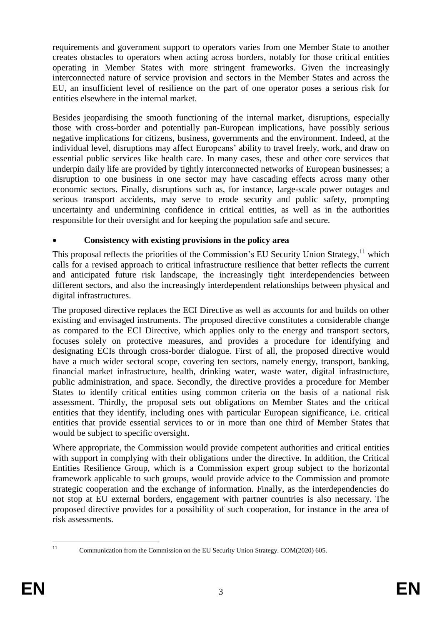requirements and government support to operators varies from one Member State to another creates obstacles to operators when acting across borders, notably for those critical entities operating in Member States with more stringent frameworks. Given the increasingly interconnected nature of service provision and sectors in the Member States and across the EU, an insufficient level of resilience on the part of one operator poses a serious risk for entities elsewhere in the internal market.

Besides jeopardising the smooth functioning of the internal market, disruptions, especially those with cross-border and potentially pan-European implications, have possibly serious negative implications for citizens, business, governments and the environment. Indeed, at the individual level, disruptions may affect Europeans' ability to travel freely, work, and draw on essential public services like health care. In many cases, these and other core services that underpin daily life are provided by tightly interconnected networks of European businesses; a disruption to one business in one sector may have cascading effects across many other economic sectors. Finally, disruptions such as, for instance, large-scale power outages and serious transport accidents, may serve to erode security and public safety, prompting uncertainty and undermining confidence in critical entities, as well as in the authorities responsible for their oversight and for keeping the population safe and secure.

## **Consistency with existing provisions in the policy area**

This proposal reflects the priorities of the Commission's EU Security Union Strategy,<sup>11</sup> which calls for a revised approach to critical infrastructure resilience that better reflects the current and anticipated future risk landscape, the increasingly tight interdependencies between different sectors, and also the increasingly interdependent relationships between physical and digital infrastructures.

The proposed directive replaces the ECI Directive as well as accounts for and builds on other existing and envisaged instruments. The proposed directive constitutes a considerable change as compared to the ECI Directive, which applies only to the energy and transport sectors, focuses solely on protective measures, and provides a procedure for identifying and designating ECIs through cross-border dialogue. First of all, the proposed directive would have a much wider sectoral scope, covering ten sectors, namely energy, transport, banking, financial market infrastructure, health, drinking water, waste water, digital infrastructure, public administration, and space. Secondly, the directive provides a procedure for Member States to identify critical entities using common criteria on the basis of a national risk assessment. Thirdly, the proposal sets out obligations on Member States and the critical entities that they identify, including ones with particular European significance, i.e. critical entities that provide essential services to or in more than one third of Member States that would be subject to specific oversight.

Where appropriate, the Commission would provide competent authorities and critical entities with support in complying with their obligations under the directive. In addition, the Critical Entities Resilience Group, which is a Commission expert group subject to the horizontal framework applicable to such groups, would provide advice to the Commission and promote strategic cooperation and the exchange of information. Finally, as the interdependencies do not stop at EU external borders, engagement with partner countries is also necessary. The proposed directive provides for a possibility of such cooperation, for instance in the area of risk assessments.

 $11$ 

<sup>11</sup> Communication from the Commission on the EU Security Union Strategy. COM(2020) 605.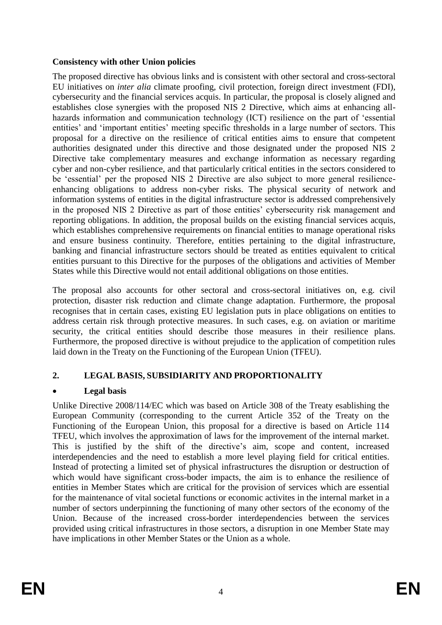#### **Consistency with other Union policies**

The proposed directive has obvious links and is consistent with other sectoral and cross-sectoral EU initiatives on *inter alia* climate proofing, civil protection, foreign direct investment (FDI), cybersecurity and the financial services acquis. In particular, the proposal is closely aligned and establishes close synergies with the proposed NIS 2 Directive, which aims at enhancing allhazards information and communication technology (ICT) resilience on the part of 'essential entities' and 'important entities' meeting specific thresholds in a large number of sectors. This proposal for a directive on the resilience of critical entities aims to ensure that competent authorities designated under this directive and those designated under the proposed NIS 2 Directive take complementary measures and exchange information as necessary regarding cyber and non-cyber resilience, and that particularly critical entities in the sectors considered to be 'essential' per the proposed NIS 2 Directive are also subject to more general resilienceenhancing obligations to address non-cyber risks. The physical security of network and information systems of entities in the digital infrastructure sector is addressed comprehensively in the proposed NIS 2 Directive as part of those entities' cybersecurity risk management and reporting obligations. In addition, the proposal builds on the existing financial services acquis, which establishes comprehensive requirements on financial entities to manage operational risks and ensure business continuity. Therefore, entities pertaining to the digital infrastructure, banking and financial infrastructure sectors should be treated as entities equivalent to critical entities pursuant to this Directive for the purposes of the obligations and activities of Member States while this Directive would not entail additional obligations on those entities.

The proposal also accounts for other sectoral and cross-sectoral initiatives on, e.g. civil protection, disaster risk reduction and climate change adaptation. Furthermore, the proposal recognises that in certain cases, existing EU legislation puts in place obligations on entities to address certain risk through protective measures. In such cases, e.g. on aviation or maritime security, the critical entities should describe those measures in their resilience plans. Furthermore, the proposed directive is without prejudice to the application of competition rules laid down in the Treaty on the Functioning of the European Union (TFEU).

## **2. LEGAL BASIS, SUBSIDIARITY AND PROPORTIONALITY**

## **Legal basis**

Unlike Directive 2008/114/EC which was based on Article 308 of the Treaty esablishing the European Community (corresponding to the current Article 352 of the Treaty on the Functioning of the European Union, this proposal for a directive is based on Article 114 TFEU, which involves the approximation of laws for the improvement of the internal market. This is justified by the shift of the directive's aim, scope and content, increased interdependencies and the need to establish a more level playing field for critical entities. Instead of protecting a limited set of physical infrastructures the disruption or destruction of which would have significant cross-boder impacts, the aim is to enhance the resilience of entities in Member States which are critical for the provision of services which are essential for the maintenance of vital societal functions or economic activites in the internal market in a number of sectors underpinning the functioning of many other sectors of the economy of the Union. Because of the increased cross-border interdependencies between the services provided using critical infrastructures in those sectors, a disruption in one Member State may have implications in other Member States or the Union as a whole.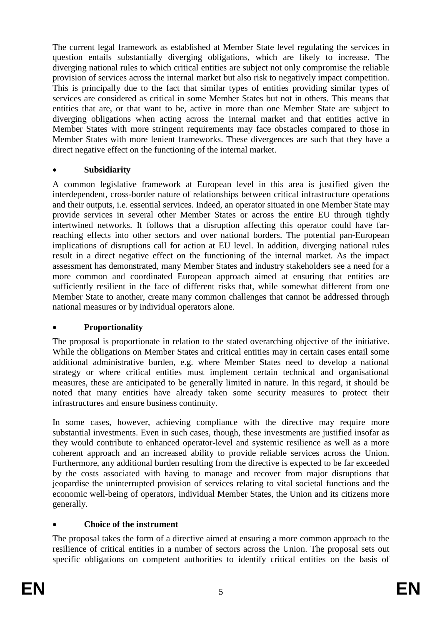The current legal framework as established at Member State level regulating the services in question entails substantially diverging obligations, which are likely to increase. The diverging national rules to which critical entities are subject not only compromise the reliable provision of services across the internal market but also risk to negatively impact competition. This is principally due to the fact that similar types of entities providing similar types of services are considered as critical in some Member States but not in others. This means that entities that are, or that want to be, active in more than one Member State are subject to diverging obligations when acting across the internal market and that entities active in Member States with more stringent requirements may face obstacles compared to those in Member States with more lenient frameworks. These divergences are such that they have a direct negative effect on the functioning of the internal market.

## **Subsidiarity**

A common legislative framework at European level in this area is justified given the interdependent, cross-border nature of relationships between critical infrastructure operations and their outputs, i.e. essential services. Indeed, an operator situated in one Member State may provide services in several other Member States or across the entire EU through tightly intertwined networks. It follows that a disruption affecting this operator could have farreaching effects into other sectors and over national borders. The potential pan-European implications of disruptions call for action at EU level. In addition, diverging national rules result in a direct negative effect on the functioning of the internal market. As the impact assessment has demonstrated, many Member States and industry stakeholders see a need for a more common and coordinated European approach aimed at ensuring that entities are sufficiently resilient in the face of different risks that, while somewhat different from one Member State to another, create many common challenges that cannot be addressed through national measures or by individual operators alone.

## **Proportionality**

The proposal is proportionate in relation to the stated overarching objective of the initiative. While the obligations on Member States and critical entities may in certain cases entail some additional administrative burden, e.g. where Member States need to develop a national strategy or where critical entities must implement certain technical and organisational measures, these are anticipated to be generally limited in nature. In this regard, it should be noted that many entities have already taken some security measures to protect their infrastructures and ensure business continuity.

In some cases, however, achieving compliance with the directive may require more substantial investments. Even in such cases, though, these investments are justified insofar as they would contribute to enhanced operator-level and systemic resilience as well as a more coherent approach and an increased ability to provide reliable services across the Union. Furthermore, any additional burden resulting from the directive is expected to be far exceeded by the costs associated with having to manage and recover from major disruptions that jeopardise the uninterrupted provision of services relating to vital societal functions and the economic well-being of operators, individual Member States, the Union and its citizens more generally.

## **Choice of the instrument**

The proposal takes the form of a directive aimed at ensuring a more common approach to the resilience of critical entities in a number of sectors across the Union. The proposal sets out specific obligations on competent authorities to identify critical entities on the basis of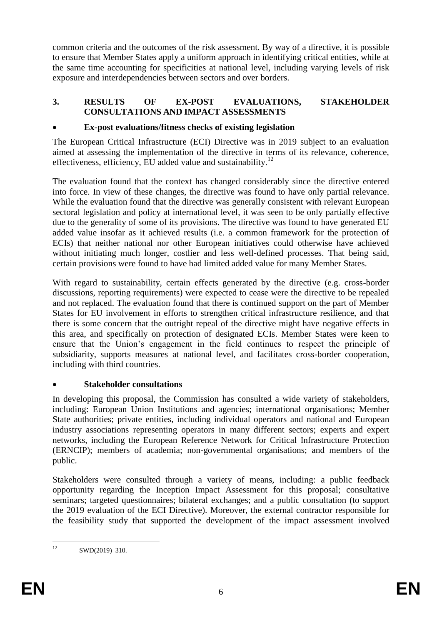common criteria and the outcomes of the risk assessment. By way of a directive, it is possible to ensure that Member States apply a uniform approach in identifying critical entities, while at the same time accounting for specificities at national level, including varying levels of risk exposure and interdependencies between sectors and over borders.

#### **3. RESULTS OF EX-POST EVALUATIONS, STAKEHOLDER CONSULTATIONS AND IMPACT ASSESSMENTS**

## **Ex-post evaluations/fitness checks of existing legislation**

The European Critical Infrastructure (ECI) Directive was in 2019 subject to an evaluation aimed at assessing the implementation of the directive in terms of its relevance, coherence, effectiveness, efficiency, EU added value and sustainability. $^{12}$ 

The evaluation found that the context has changed considerably since the directive entered into force. In view of these changes, the directive was found to have only partial relevance. While the evaluation found that the directive was generally consistent with relevant European sectoral legislation and policy at international level, it was seen to be only partially effective due to the generality of some of its provisions. The directive was found to have generated EU added value insofar as it achieved results (i.e. a common framework for the protection of ECIs) that neither national nor other European initiatives could otherwise have achieved without initiating much longer, costlier and less well-defined processes. That being said, certain provisions were found to have had limited added value for many Member States.

With regard to sustainability, certain effects generated by the directive (e.g. cross-border discussions, reporting requirements) were expected to cease were the directive to be repealed and not replaced. The evaluation found that there is continued support on the part of Member States for EU involvement in efforts to strengthen critical infrastructure resilience, and that there is some concern that the outright repeal of the directive might have negative effects in this area, and specifically on protection of designated ECIs. Member States were keen to ensure that the Union's engagement in the field continues to respect the principle of subsidiarity, supports measures at national level, and facilitates cross-border cooperation, including with third countries.

### **Stakeholder consultations**

In developing this proposal, the Commission has consulted a wide variety of stakeholders, including: European Union Institutions and agencies; international organisations; Member State authorities; private entities, including individual operators and national and European industry associations representing operators in many different sectors; experts and expert networks, including the European Reference Network for Critical Infrastructure Protection (ERNCIP); members of academia; non-governmental organisations; and members of the public.

Stakeholders were consulted through a variety of means, including: a public feedback opportunity regarding the Inception Impact Assessment for this proposal; consultative seminars; targeted questionnaires; bilateral exchanges; and a public consultation (to support the 2019 evaluation of the ECI Directive). Moreover, the external contractor responsible for the feasibility study that supported the development of the impact assessment involved

 $12<sup>12</sup>$ SWD(2019) 310.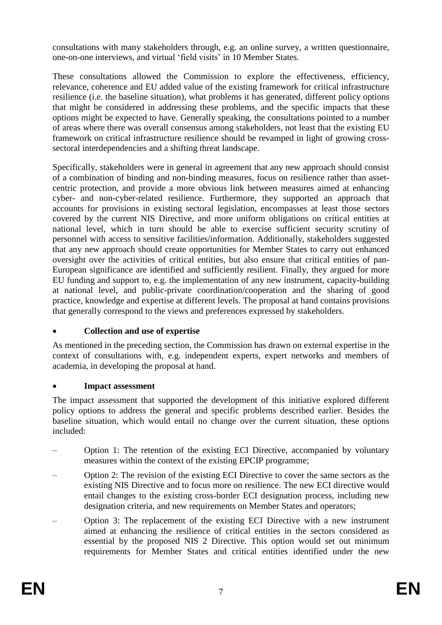consultations with many stakeholders through, e.g. an online survey, a written questionnaire, one-on-one interviews, and virtual 'field visits' in 10 Member States.

These consultations allowed the Commission to explore the effectiveness, efficiency, relevance, coherence and EU added value of the existing framework for critical infrastructure resilience (i.e. the baseline situation), what problems it has generated, different policy options that might be considered in addressing these problems, and the specific impacts that these options might be expected to have. Generally speaking, the consultations pointed to a number of areas where there was overall consensus among stakeholders, not least that the existing EU framework on critical infrastructure resilience should be revamped in light of growing crosssectoral interdependencies and a shifting threat landscape.

Specifically, stakeholders were in general in agreement that any new approach should consist of a combination of binding and non-binding measures, focus on resilience rather than assetcentric protection, and provide a more obvious link between measures aimed at enhancing cyber- and non-cyber-related resilience. Furthermore, they supported an approach that accounts for provisions in existing sectoral legislation, encompasses at least those sectors covered by the current NIS Directive, and more uniform obligations on critical entities at national level, which in turn should be able to exercise sufficient security scrutiny of personnel with access to sensitive facilities/information. Additionally, stakeholders suggested that any new approach should create opportunities for Member States to carry out enhanced oversight over the activities of critical entities, but also ensure that critical entities of pan-European significance are identified and sufficiently resilient. Finally, they argued for more EU funding and support to, e.g. the implementation of any new instrument, capacity-building at national level, and public-private coordination/cooperation and the sharing of good practice, knowledge and expertise at different levels. The proposal at hand contains provisions that generally correspond to the views and preferences expressed by stakeholders.

### **Collection and use of expertise**

As mentioned in the preceding section, the Commission has drawn on external expertise in the context of consultations with, e.g. independent experts, expert networks and members of academia, in developing the proposal at hand.

### **Impact assessment**

The impact assessment that supported the development of this initiative explored different policy options to address the general and specific problems described earlier. Besides the baseline situation, which would entail no change over the current situation, these options included:

- Option 1: The retention of the existing ECI Directive, accompanied by voluntary measures within the context of the existing EPCIP programme;
- Option 2: The revision of the existing ECI Directive to cover the same sectors as the existing NIS Directive and to focus more on resilience. The new ECI directive would entail changes to the existing cross-border ECI designation process, including new designation criteria, and new requirements on Member States and operators;
- Option 3: The replacement of the existing ECI Directive with a new instrument aimed at enhancing the resilience of critical entities in the sectors considered as essential by the proposed NIS 2 Directive. This option would set out minimum requirements for Member States and critical entities identified under the new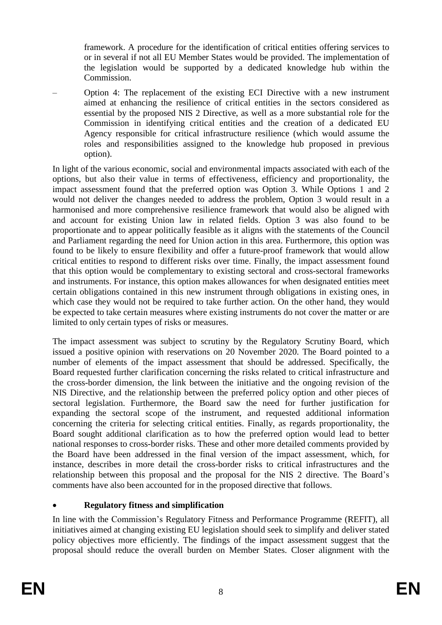framework. A procedure for the identification of critical entities offering services to or in several if not all EU Member States would be provided. The implementation of the legislation would be supported by a dedicated knowledge hub within the Commission.

– Option 4: The replacement of the existing ECI Directive with a new instrument aimed at enhancing the resilience of critical entities in the sectors considered as essential by the proposed NIS 2 Directive, as well as a more substantial role for the Commission in identifying critical entities and the creation of a dedicated EU Agency responsible for critical infrastructure resilience (which would assume the roles and responsibilities assigned to the knowledge hub proposed in previous option).

In light of the various economic, social and environmental impacts associated with each of the options, but also their value in terms of effectiveness, efficiency and proportionality, the impact assessment found that the preferred option was Option 3. While Options 1 and 2 would not deliver the changes needed to address the problem, Option 3 would result in a harmonised and more comprehensive resilience framework that would also be aligned with and account for existing Union law in related fields. Option 3 was also found to be proportionate and to appear politically feasible as it aligns with the statements of the Council and Parliament regarding the need for Union action in this area. Furthermore, this option was found to be likely to ensure flexibility and offer a future-proof framework that would allow critical entities to respond to different risks over time. Finally, the impact assessment found that this option would be complementary to existing sectoral and cross-sectoral frameworks and instruments. For instance, this option makes allowances for when designated entities meet certain obligations contained in this new instrument through obligations in existing ones, in which case they would not be required to take further action. On the other hand, they would be expected to take certain measures where existing instruments do not cover the matter or are limited to only certain types of risks or measures.

The impact assessment was subject to scrutiny by the Regulatory Scrutiny Board, which issued a positive opinion with reservations on 20 November 2020. The Board pointed to a number of elements of the impact assessment that should be addressed. Specifically, the Board requested further clarification concerning the risks related to critical infrastructure and the cross-border dimension, the link between the initiative and the ongoing revision of the NIS Directive, and the relationship between the preferred policy option and other pieces of sectoral legislation. Furthermore, the Board saw the need for further justification for expanding the sectoral scope of the instrument, and requested additional information concerning the criteria for selecting critical entities. Finally, as regards proportionality, the Board sought additional clarification as to how the preferred option would lead to better national responses to cross-border risks. These and other more detailed comments provided by the Board have been addressed in the final version of the impact assessment, which, for instance, describes in more detail the cross-border risks to critical infrastructures and the relationship between this proposal and the proposal for the NIS 2 directive. The Board's comments have also been accounted for in the proposed directive that follows.

## **Regulatory fitness and simplification**

In line with the Commission's Regulatory Fitness and Performance Programme (REFIT), all initiatives aimed at changing existing EU legislation should seek to simplify and deliver stated policy objectives more efficiently. The findings of the impact assessment suggest that the proposal should reduce the overall burden on Member States. Closer alignment with the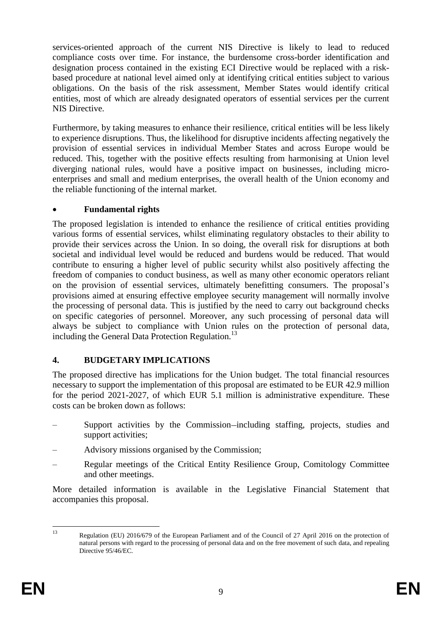services-oriented approach of the current NIS Directive is likely to lead to reduced compliance costs over time. For instance, the burdensome cross-border identification and designation process contained in the existing ECI Directive would be replaced with a riskbased procedure at national level aimed only at identifying critical entities subject to various obligations. On the basis of the risk assessment, Member States would identify critical entities, most of which are already designated operators of essential services per the current NIS Directive.

Furthermore, by taking measures to enhance their resilience, critical entities will be less likely to experience disruptions. Thus, the likelihood for disruptive incidents affecting negatively the provision of essential services in individual Member States and across Europe would be reduced. This, together with the positive effects resulting from harmonising at Union level diverging national rules, would have a positive impact on businesses, including microenterprises and small and medium enterprises, the overall health of the Union economy and the reliable functioning of the internal market.

### **Fundamental rights**

The proposed legislation is intended to enhance the resilience of critical entities providing various forms of essential services, whilst eliminating regulatory obstacles to their ability to provide their services across the Union. In so doing, the overall risk for disruptions at both societal and individual level would be reduced and burdens would be reduced. That would contribute to ensuring a higher level of public security whilst also positively affecting the freedom of companies to conduct business, as well as many other economic operators reliant on the provision of essential services, ultimately benefitting consumers. The proposal's provisions aimed at ensuring effective employee security management will normally involve the processing of personal data. This is justified by the need to carry out background checks on specific categories of personnel. Moreover, any such processing of personal data will always be subject to compliance with Union rules on the protection of personal data, including the General Data Protection Regulation.<sup>13</sup>

## **4. BUDGETARY IMPLICATIONS**

The proposed directive has implications for the Union budget. The total financial resources necessary to support the implementation of this proposal are estimated to be EUR 42.9 million for the period 2021-2027, of which EUR 5.1 million is administrative expenditure. These costs can be broken down as follows:

- Support activities by the Commission-including staffing, projects, studies and support activities;
- Advisory missions organised by the Commission;
- Regular meetings of the Critical Entity Resilience Group, Comitology Committee and other meetings.

More detailed information is available in the Legislative Financial Statement that accompanies this proposal.

 $13$ Regulation (EU) 2016/679 of the European Parliament and of the Council of 27 April 2016 on the protection of natural persons with regard to the processing of personal data and on the free movement of such data, and repealing Directive 95/46/EC.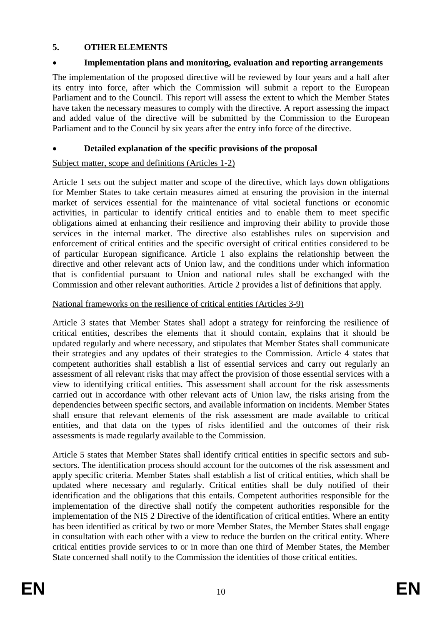## **5. OTHER ELEMENTS**

## **Implementation plans and monitoring, evaluation and reporting arrangements**

The implementation of the proposed directive will be reviewed by four years and a half after its entry into force, after which the Commission will submit a report to the European Parliament and to the Council. This report will assess the extent to which the Member States have taken the necessary measures to comply with the directive. A report assessing the impact and added value of the directive will be submitted by the Commission to the European Parliament and to the Council by six years after the entry info force of the directive.

## **Detailed explanation of the specific provisions of the proposal**

## Subject matter, scope and definitions (Articles 1-2)

Article 1 sets out the subject matter and scope of the directive, which lays down obligations for Member States to take certain measures aimed at ensuring the provision in the internal market of services essential for the maintenance of vital societal functions or economic activities, in particular to identify critical entities and to enable them to meet specific obligations aimed at enhancing their resilience and improving their ability to provide those services in the internal market. The directive also establishes rules on supervision and enforcement of critical entities and the specific oversight of critical entities considered to be of particular European significance. Article 1 also explains the relationship between the directive and other relevant acts of Union law, and the conditions under which information that is confidential pursuant to Union and national rules shall be exchanged with the Commission and other relevant authorities. Article 2 provides a list of definitions that apply.

## National frameworks on the resilience of critical entities (Articles 3-9)

Article 3 states that Member States shall adopt a strategy for reinforcing the resilience of critical entities, describes the elements that it should contain, explains that it should be updated regularly and where necessary, and stipulates that Member States shall communicate their strategies and any updates of their strategies to the Commission. Article 4 states that competent authorities shall establish a list of essential services and carry out regularly an assessment of all relevant risks that may affect the provision of those essential services with a view to identifying critical entities. This assessment shall account for the risk assessments carried out in accordance with other relevant acts of Union law, the risks arising from the dependencies between specific sectors, and available information on incidents. Member States shall ensure that relevant elements of the risk assessment are made available to critical entities, and that data on the types of risks identified and the outcomes of their risk assessments is made regularly available to the Commission.

Article 5 states that Member States shall identify critical entities in specific sectors and subsectors. The identification process should account for the outcomes of the risk assessment and apply specific criteria. Member States shall establish a list of critical entities, which shall be updated where necessary and regularly. Critical entities shall be duly notified of their identification and the obligations that this entails. Competent authorities responsible for the implementation of the directive shall notify the competent authorities responsible for the implementation of the NIS 2 Directive of the identification of critical entities. Where an entity has been identified as critical by two or more Member States, the Member States shall engage in consultation with each other with a view to reduce the burden on the critical entity. Where critical entities provide services to or in more than one third of Member States, the Member State concerned shall notify to the Commission the identities of those critical entities.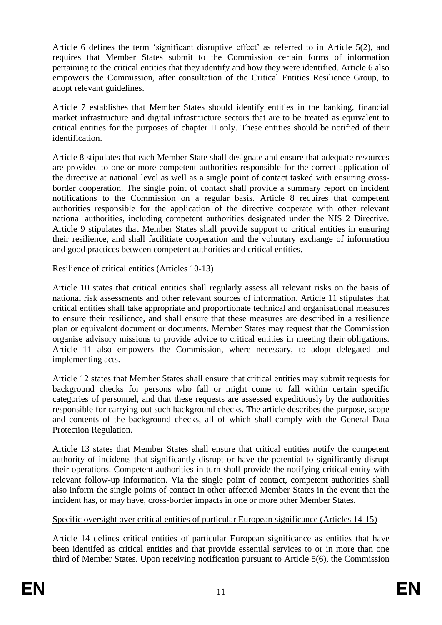Article 6 defines the term 'significant disruptive effect' as referred to in Article 5(2), and requires that Member States submit to the Commission certain forms of information pertaining to the critical entities that they identify and how they were identified. Article 6 also empowers the Commission, after consultation of the Critical Entities Resilience Group, to adopt relevant guidelines.

Article 7 establishes that Member States should identify entities in the banking, financial market infrastructure and digital infrastructure sectors that are to be treated as equivalent to critical entities for the purposes of chapter II only. These entities should be notified of their identification.

Article 8 stipulates that each Member State shall designate and ensure that adequate resources are provided to one or more competent authorities responsible for the correct application of the directive at national level as well as a single point of contact tasked with ensuring crossborder cooperation. The single point of contact shall provide a summary report on incident notifications to the Commission on a regular basis. Article 8 requires that competent authorities responsible for the application of the directive cooperate with other relevant national authorities, including competent authorities designated under the NIS 2 Directive. Article 9 stipulates that Member States shall provide support to critical entities in ensuring their resilience, and shall facilitiate cooperation and the voluntary exchange of information and good practices between competent authorities and critical entities.

### Resilience of critical entities (Articles 10-13)

Article 10 states that critical entities shall regularly assess all relevant risks on the basis of national risk assessments and other relevant sources of information. Article 11 stipulates that critical entities shall take appropriate and proportionate technical and organisational measures to ensure their resilience, and shall ensure that these measures are described in a resilience plan or equivalent document or documents. Member States may request that the Commission organise advisory missions to provide advice to critical entities in meeting their obligations. Article 11 also empowers the Commission, where necessary, to adopt delegated and implementing acts.

Article 12 states that Member States shall ensure that critical entities may submit requests for background checks for persons who fall or might come to fall within certain specific categories of personnel, and that these requests are assessed expeditiously by the authorities responsible for carrying out such background checks. The article describes the purpose, scope and contents of the background checks, all of which shall comply with the General Data Protection Regulation.

Article 13 states that Member States shall ensure that critical entities notify the competent authority of incidents that significantly disrupt or have the potential to significantly disrupt their operations. Competent authorities in turn shall provide the notifying critical entity with relevant follow-up information. Via the single point of contact, competent authorities shall also inform the single points of contact in other affected Member States in the event that the incident has, or may have, cross-border impacts in one or more other Member States.

### Specific oversight over critical entities of particular European significance (Articles 14-15)

Article 14 defines critical entities of particular European significance as entities that have been identifed as critical entities and that provide essential services to or in more than one third of Member States. Upon receiving notification pursuant to Article 5(6), the Commission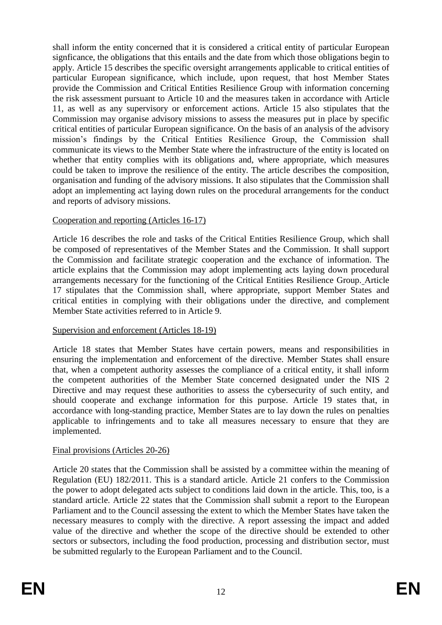shall inform the entity concerned that it is considered a critical entity of particular European signficance, the obligations that this entails and the date from which those obligations begin to apply. Article 15 describes the specific oversight arrangements applicable to critical entities of particular European significance, which include, upon request, that host Member States provide the Commission and Critical Entities Resilience Group with information concerning the risk assessment pursuant to Article 10 and the measures taken in accordance with Article 11, as well as any supervisory or enforcement actions. Article 15 also stipulates that the Commission may organise advisory missions to assess the measures put in place by specific critical entities of particular European significance. On the basis of an analysis of the advisory mission's findings by the Critical Entities Resilience Group, the Commission shall communicate its views to the Member State where the infrastructure of the entity is located on whether that entity complies with its obligations and, where appropriate, which measures could be taken to improve the resilience of the entity. The article describes the composition, organisation and funding of the advisory missions. It also stipulates that the Commission shall adopt an implementing act laying down rules on the procedural arrangements for the conduct and reports of advisory missions.

### Cooperation and reporting (Articles 16-17)

Article 16 describes the role and tasks of the Critical Entities Resilience Group, which shall be composed of representatives of the Member States and the Commission. It shall support the Commission and facilitate strategic cooperation and the exchance of information. The article explains that the Commission may adopt implementing acts laying down procedural arrangements necessary for the functioning of the Critical Entities Resilience Group. Article 17 stipulates that the Commission shall, where appropriate, support Member States and critical entities in complying with their obligations under the directive, and complement Member State activities referred to in Article 9.

#### Supervision and enforcement (Articles 18-19)

Article 18 states that Member States have certain powers, means and responsibilities in ensuring the implementation and enforcement of the directive. Member States shall ensure that, when a competent authority assesses the compliance of a critical entity, it shall inform the competent authorities of the Member State concerned designated under the NIS 2 Directive and may request these authorities to assess the cybersecurity of such entity, and should cooperate and exchange information for this purpose. Article 19 states that, in accordance with long-standing practice, Member States are to lay down the rules on penalties applicable to infringements and to take all measures necessary to ensure that they are implemented.

#### Final provisions (Articles 20-26)

Article 20 states that the Commission shall be assisted by a committee within the meaning of Regulation (EU) 182/2011. This is a standard article. Article 21 confers to the Commission the power to adopt delegated acts subject to conditions laid down in the article. This, too, is a standard article. Article 22 states that the Commission shall submit a report to the European Parliament and to the Council assessing the extent to which the Member States have taken the necessary measures to comply with the directive. A report assessing the impact and added value of the directive and whether the scope of the directive should be extended to other sectors or subsectors, including the food production, processing and distribution sector, must be submitted regularly to the European Parliament and to the Council.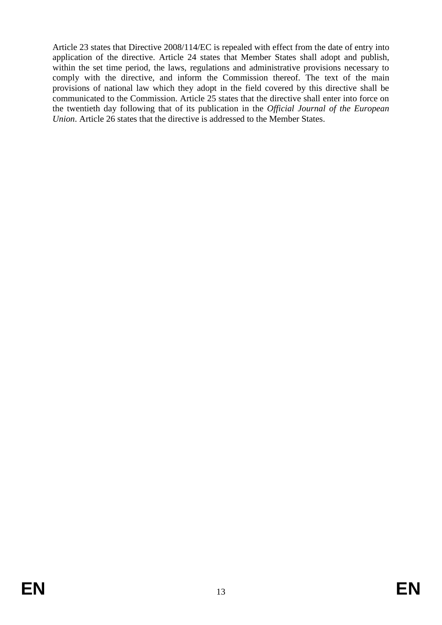Article 23 states that Directive 2008/114/EC is repealed with effect from the date of entry into application of the directive. Article 24 states that Member States shall adopt and publish, within the set time period, the laws, regulations and administrative provisions necessary to comply with the directive, and inform the Commission thereof. The text of the main provisions of national law which they adopt in the field covered by this directive shall be communicated to the Commission. Article 25 states that the directive shall enter into force on the twentieth day following that of its publication in the *Official Journal of the European Union*. Article 26 states that the directive is addressed to the Member States.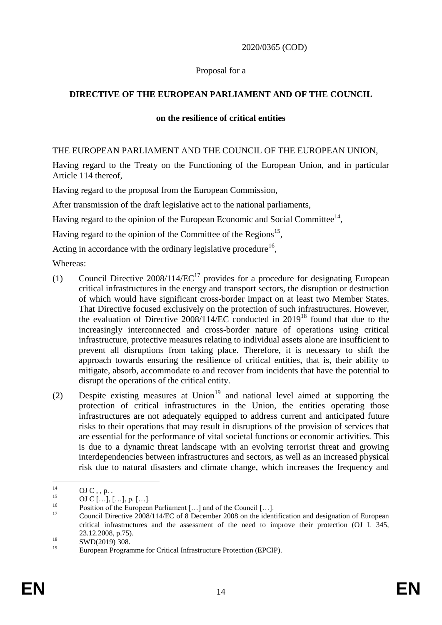#### 2020/0365 (COD)

#### Proposal for a

## **DIRECTIVE OF THE EUROPEAN PARLIAMENT AND OF THE COUNCIL**

#### **on the resilience of critical entities**

#### THE EUROPEAN PARLIAMENT AND THE COUNCIL OF THE EUROPEAN UNION,

Having regard to the Treaty on the Functioning of the European Union, and in particular Article 114 thereof,

Having regard to the proposal from the European Commission,

After transmission of the draft legislative act to the national parliaments,

Having regard to the opinion of the European Economic and Social Committee<sup>14</sup>,

Having regard to the opinion of the Committee of the Regions<sup>15</sup>,

Acting in accordance with the ordinary legislative procedure<sup>16</sup>,

Whereas:

- (1) Council Directive  $2008/114/EC^{17}$  provides for a procedure for designating European critical infrastructures in the energy and transport sectors, the disruption or destruction of which would have significant cross-border impact on at least two Member States. That Directive focused exclusively on the protection of such infrastructures. However, the evaluation of Directive  $2008/114/EC$  conducted in  $2019^{18}$  found that due to the increasingly interconnected and cross-border nature of operations using critical infrastructure, protective measures relating to individual assets alone are insufficient to prevent all disruptions from taking place. Therefore, it is necessary to shift the approach towards ensuring the resilience of critical entities, that is, their ability to mitigate, absorb, accommodate to and recover from incidents that have the potential to disrupt the operations of the critical entity.
- (2) Despite existing measures at Union<sup>19</sup> and national level aimed at supporting the protection of critical infrastructures in the Union, the entities operating those infrastructures are not adequately equipped to address current and anticipated future risks to their operations that may result in disruptions of the provision of services that are essential for the performance of vital societal functions or economic activities. This is due to a dynamic threat landscape with an evolving terrorist threat and growing interdependencies between infrastructures and sectors, as well as an increased physical risk due to natural disasters and climate change, which increases the frequency and

 $14$  $\frac{14}{15}$  OJ C, , p. .

 $^{15}$  OJ C [...], [...], p. [...].

<sup>&</sup>lt;sup>16</sup> Position of the European Parliament [...] and of the Council [...].

<sup>17</sup> Council Directive 2008/114/EC of 8 December 2008 on the identification and designation of European critical infrastructures and the assessment of the need to improve their protection (OJ L 345, 23.12.2008, p.75).

 $18$  SWD(2019) 308.

European Programme for Critical Infrastructure Protection (EPCIP).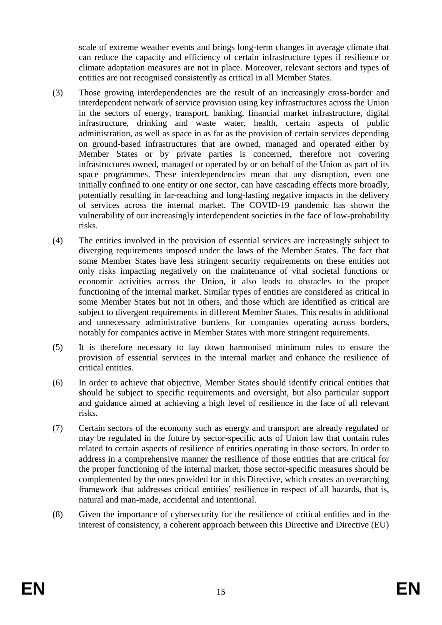scale of extreme weather events and brings long-term changes in average climate that can reduce the capacity and efficiency of certain infrastructure types if resilience or climate adaptation measures are not in place. Moreover, relevant sectors and types of entities are not recognised consistently as critical in all Member States.

- (3) Those growing interdependencies are the result of an increasingly cross-border and interdependent network of service provision using key infrastructures across the Union in the sectors of energy, transport, banking, financial market infrastructure, digital infrastructure, drinking and waste water, health, certain aspects of public administration, as well as space in as far as the provision of certain services depending on ground-based infrastructures that are owned, managed and operated either by Member States or by private parties is concerned, therefore not covering infrastructures owned, managed or operated by or on behalf of the Union as part of its space programmes. These interdependencies mean that any disruption, even one initially confined to one entity or one sector, can have cascading effects more broadly, potentially resulting in far-reaching and long-lasting negative impacts in the delivery of services across the internal market. The COVID-19 pandemic has shown the vulnerability of our increasingly interdependent societies in the face of low-probability risks.
- (4) The entities involved in the provision of essential services are increasingly subject to diverging requirements imposed under the laws of the Member States. The fact that some Member States have less stringent security requirements on these entities not only risks impacting negatively on the maintenance of vital societal functions or economic activities across the Union, it also leads to obstacles to the proper functioning of the internal market. Similar types of entities are considered as critical in some Member States but not in others, and those which are identified as critical are subject to divergent requirements in different Member States. This results in additional and unnecessary administrative burdens for companies operating across borders, notably for companies active in Member States with more stringent requirements.
- (5) It is therefore necessary to lay down harmonised minimum rules to ensure the provision of essential services in the internal market and enhance the resilience of critical entities.
- (6) In order to achieve that objective, Member States should identify critical entities that should be subject to specific requirements and oversight, but also particular support and guidance aimed at achieving a high level of resilience in the face of all relevant risks.
- (7) Certain sectors of the economy such as energy and transport are already regulated or may be regulated in the future by sector-specific acts of Union law that contain rules related to certain aspects of resilience of entities operating in those sectors. In order to address in a comprehensive manner the resilience of those entities that are critical for the proper functioning of the internal market, those sector-specific measures should be complemented by the ones provided for in this Directive, which creates an overarching framework that addresses critical entities' resilience in respect of all hazards, that is, natural and man-made, accidental and intentional.
- (8) Given the importance of cybersecurity for the resilience of critical entities and in the interest of consistency, a coherent approach between this Directive and Directive (EU)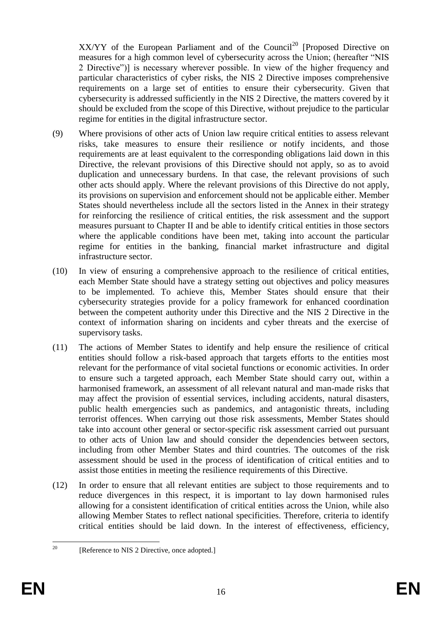$XX/YY$  of the European Parliament and of the Council<sup>20</sup> [Proposed Directive on measures for a high common level of cybersecurity across the Union; (hereafter "NIS 2 Directive")] is necessary wherever possible. In view of the higher frequency and particular characteristics of cyber risks, the NIS 2 Directive imposes comprehensive requirements on a large set of entities to ensure their cybersecurity. Given that cybersecurity is addressed sufficiently in the NIS 2 Directive, the matters covered by it should be excluded from the scope of this Directive, without prejudice to the particular regime for entities in the digital infrastructure sector.

- (9) Where provisions of other acts of Union law require critical entities to assess relevant risks, take measures to ensure their resilience or notify incidents, and those requirements are at least equivalent to the corresponding obligations laid down in this Directive, the relevant provisions of this Directive should not apply, so as to avoid duplication and unnecessary burdens. In that case, the relevant provisions of such other acts should apply. Where the relevant provisions of this Directive do not apply, its provisions on supervision and enforcement should not be applicable either. Member States should nevertheless include all the sectors listed in the Annex in their strategy for reinforcing the resilience of critical entities, the risk assessment and the support measures pursuant to Chapter II and be able to identify critical entities in those sectors where the applicable conditions have been met, taking into account the particular regime for entities in the banking, financial market infrastructure and digital infrastructure sector.
- (10) In view of ensuring a comprehensive approach to the resilience of critical entities, each Member State should have a strategy setting out objectives and policy measures to be implemented. To achieve this, Member States should ensure that their cybersecurity strategies provide for a policy framework for enhanced coordination between the competent authority under this Directive and the NIS 2 Directive in the context of information sharing on incidents and cyber threats and the exercise of supervisory tasks.
- (11) The actions of Member States to identify and help ensure the resilience of critical entities should follow a risk-based approach that targets efforts to the entities most relevant for the performance of vital societal functions or economic activities. In order to ensure such a targeted approach, each Member State should carry out, within a harmonised framework, an assessment of all relevant natural and man-made risks that may affect the provision of essential services, including accidents, natural disasters, public health emergencies such as pandemics, and antagonistic threats, including terrorist offences. When carrying out those risk assessments, Member States should take into account other general or sector-specific risk assessment carried out pursuant to other acts of Union law and should consider the dependencies between sectors, including from other Member States and third countries. The outcomes of the risk assessment should be used in the process of identification of critical entities and to assist those entities in meeting the resilience requirements of this Directive.
- (12) In order to ensure that all relevant entities are subject to those requirements and to reduce divergences in this respect, it is important to lay down harmonised rules allowing for a consistent identification of critical entities across the Union, while also allowing Member States to reflect national specificities. Therefore, criteria to identify critical entities should be laid down. In the interest of effectiveness, efficiency,

 $20$ [Reference to NIS 2 Directive, once adopted.]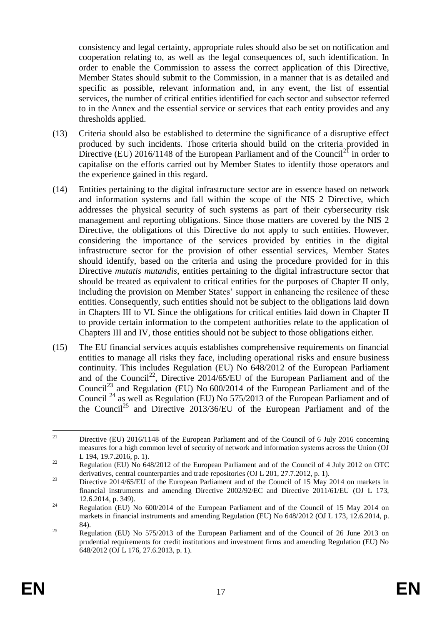consistency and legal certainty, appropriate rules should also be set on notification and cooperation relating to, as well as the legal consequences of, such identification. In order to enable the Commission to assess the correct application of this Directive, Member States should submit to the Commission, in a manner that is as detailed and specific as possible, relevant information and, in any event, the list of essential services, the number of critical entities identified for each sector and subsector referred to in the Annex and the essential service or services that each entity provides and any thresholds applied.

- (13) Criteria should also be established to determine the significance of a disruptive effect produced by such incidents. Those criteria should build on the criteria provided in Directive (EU) 2016/1148 of the European Parliament and of the Council<sup>21</sup> in order to capitalise on the efforts carried out by Member States to identify those operators and the experience gained in this regard.
- (14) Entities pertaining to the digital infrastructure sector are in essence based on network and information systems and fall within the scope of the NIS 2 Directive, which addresses the physical security of such systems as part of their cybersecurity risk management and reporting obligations. Since those matters are covered by the NIS 2 Directive, the obligations of this Directive do not apply to such entities. However, considering the importance of the services provided by entities in the digital infrastructure sector for the provision of other essential services, Member States should identify, based on the criteria and using the procedure provided for in this Directive *mutatis mutandis*, entities pertaining to the digital infrastructure sector that should be treated as equivalent to critical entities for the purposes of Chapter II only, including the provision on Member States' support in enhancing the resilence of these entities. Consequently, such entities should not be subject to the obligations laid down in Chapters III to VI. Since the obligations for critical entities laid down in Chapter II to provide certain information to the competent authorities relate to the application of Chapters III and IV, those entities should not be subject to those obligations either.
- (15) The EU financial services acquis establishes comprehensive requirements on financial entities to manage all risks they face, including operational risks and ensure business continuity. This includes Regulation (EU) No 648/2012 of the European Parliament and of the Council<sup>22</sup>, Directive 2014/65/EU of the European Parliament and of the Council<sup>23</sup> and Regulation (EU) No  $600/2014$  of the European Parliament and of the Council<sup>24</sup> as well as Regulation (EU) No 575/2013 of the European Parliament and of the Council<sup>25</sup> and Directive 2013/36/EU of the European Parliament and of the

 $21$ <sup>21</sup> Directive (EU) 2016/1148 of the European Parliament and of the Council of 6 July 2016 concerning measures for a high common level of security of network and information systems across the Union (OJ L 194, 19.7.2016, p. 1).

<sup>&</sup>lt;sup>22</sup> Regulation (EU) No 648/2012 of the European Parliament and of the Council of 4 July 2012 on OTC derivatives, central counterparties and trade repositories (OJ L 201, 27.7.2012, p. 1).

<sup>&</sup>lt;sup>23</sup> Directive 2014/65/EU of the European Parliament and of the Council of 15 May 2014 on markets in financial instruments and amending Directive 2002/92/EC and Directive 2011/61/EU (OJ L 173, 12.6.2014, p. 349).

<sup>&</sup>lt;sup>24</sup> Regulation (EU) No  $600/2014$  of the European Parliament and of the Council of 15 May 2014 on markets in financial instruments and amending Regulation (EU) No 648/2012 (OJ L 173, 12.6.2014, p. 84).

<sup>&</sup>lt;sup>25</sup> Regulation (EU) No 575/2013 of the European Parliament and of the Council of 26 June 2013 on prudential requirements for credit institutions and investment firms and amending Regulation (EU) No 648/2012 (OJ L 176, 27.6.2013, p. 1).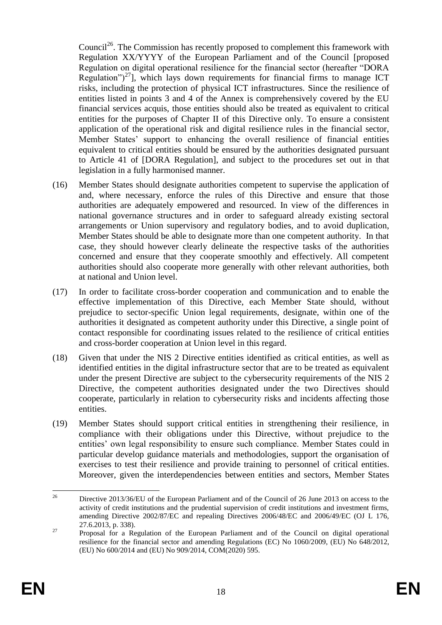Council<sup>26</sup>. The Commission has recently proposed to complement this framework with Regulation XX/YYYY of the European Parliament and of the Council [proposed Regulation on digital operational resilience for the financial sector (hereafter "DORA Regulation")<sup>27</sup>], which lays down requirements for financial firms to manage ICT risks, including the protection of physical ICT infrastructures. Since the resilience of entities listed in points 3 and 4 of the Annex is comprehensively covered by the EU financial services acquis, those entities should also be treated as equivalent to critical entities for the purposes of Chapter II of this Directive only. To ensure a consistent application of the operational risk and digital resilience rules in the financial sector, Member States' support to enhancing the overall resilience of financial entities equivalent to critical entities should be ensured by the authorities designated pursuant to Article 41 of [DORA Regulation], and subject to the procedures set out in that legislation in a fully harmonised manner.

- (16) Member States should designate authorities competent to supervise the application of and, where necessary, enforce the rules of this Directive and ensure that those authorities are adequately empowered and resourced. In view of the differences in national governance structures and in order to safeguard already existing sectoral arrangements or Union supervisory and regulatory bodies, and to avoid duplication, Member States should be able to designate more than one competent authority. In that case, they should however clearly delineate the respective tasks of the authorities concerned and ensure that they cooperate smoothly and effectively. All competent authorities should also cooperate more generally with other relevant authorities, both at national and Union level.
- (17) In order to facilitate cross-border cooperation and communication and to enable the effective implementation of this Directive, each Member State should, without prejudice to sector-specific Union legal requirements, designate, within one of the authorities it designated as competent authority under this Directive, a single point of contact responsible for coordinating issues related to the resilience of critical entities and cross-border cooperation at Union level in this regard.
- (18) Given that under the NIS 2 Directive entities identified as critical entities, as well as identified entities in the digital infrastructure sector that are to be treated as equivalent under the present Directive are subject to the cybersecurity requirements of the NIS 2 Directive, the competent authorities designated under the two Directives should cooperate, particularly in relation to cybersecurity risks and incidents affecting those entities.
- (19) Member States should support critical entities in strengthening their resilience, in compliance with their obligations under this Directive, without prejudice to the entities' own legal responsibility to ensure such compliance. Member States could in particular develop guidance materials and methodologies, support the organisation of exercises to test their resilience and provide training to personnel of critical entities. Moreover, given the interdependencies between entities and sectors, Member States

 $26\overline{)}$ <sup>26</sup> Directive 2013/36/EU of the European Parliament and of the Council of 26 June 2013 on access to the activity of credit institutions and the prudential supervision of credit institutions and investment firms, amending Directive 2002/87/EC and repealing Directives 2006/48/EC and 2006/49/EC (OJ L 176, 27.6.2013, p. 338).

<sup>&</sup>lt;sup>27</sup> Proposal for a Regulation of the European Parliament and of the Council on digital operational resilience for the financial sector and amending Regulations (EC) No 1060/2009, (EU) No 648/2012, (EU) No 600/2014 and (EU) No 909/2014, COM(2020) 595.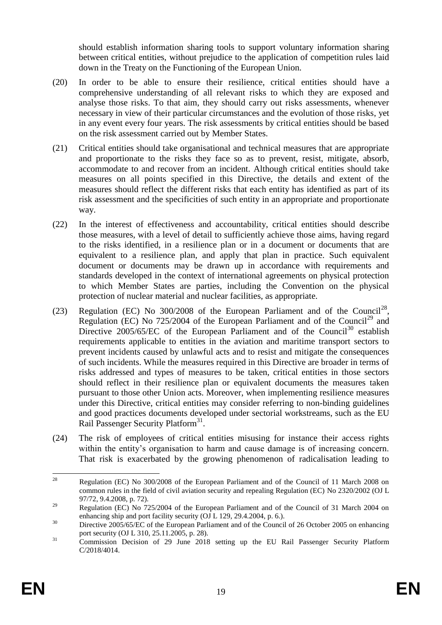should establish information sharing tools to support voluntary information sharing between critical entities, without prejudice to the application of competition rules laid down in the Treaty on the Functioning of the European Union.

- (20) In order to be able to ensure their resilience, critical entities should have a comprehensive understanding of all relevant risks to which they are exposed and analyse those risks. To that aim, they should carry out risks assessments, whenever necessary in view of their particular circumstances and the evolution of those risks, yet in any event every four years. The risk assessments by critical entities should be based on the risk assessment carried out by Member States.
- (21) Critical entities should take organisational and technical measures that are appropriate and proportionate to the risks they face so as to prevent, resist, mitigate, absorb, accommodate to and recover from an incident. Although critical entities should take measures on all points specified in this Directive, the details and extent of the measures should reflect the different risks that each entity has identified as part of its risk assessment and the specificities of such entity in an appropriate and proportionate way.
- (22) In the interest of effectiveness and accountability, critical entities should describe those measures, with a level of detail to sufficiently achieve those aims, having regard to the risks identified, in a resilience plan or in a document or documents that are equivalent to a resilience plan, and apply that plan in practice. Such equivalent document or documents may be drawn up in accordance with requirements and standards developed in the context of international agreements on physical protection to which Member States are parties, including the Convention on the physical protection of nuclear material and nuclear facilities, as appropriate.
- (23) Regulation (EC) No 300/2008 of the European Parliament and of the Council<sup>28</sup>, Regulation (EC) No  $725/2004$  of the European Parliament and of the Council<sup>29</sup> and Directive  $2005/65/EC$  of the European Parliament and of the Council<sup>30</sup> establish requirements applicable to entities in the aviation and maritime transport sectors to prevent incidents caused by unlawful acts and to resist and mitigate the consequences of such incidents. While the measures required in this Directive are broader in terms of risks addressed and types of measures to be taken, critical entities in those sectors should reflect in their resilience plan or equivalent documents the measures taken pursuant to those other Union acts. Moreover, when implementing resilience measures under this Directive, critical entities may consider referring to non-binding guidelines and good practices documents developed under sectorial workstreams, such as the EU Rail Passenger Security Platform<sup>31</sup>.
- (24) The risk of employees of critical entities misusing for instance their access rights within the entity's organisation to harm and cause damage is of increasing concern. That risk is exacerbated by the growing phenomenon of radicalisation leading to

<sup>28</sup> <sup>28</sup> Regulation (EC) No 300/2008 of the European Parliament and of the Council of 11 March 2008 on common rules in the field of civil aviation security and repealing Regulation (EC) No 2320/2002 (OJ L 97/72, 9.4.2008, p. 72).

<sup>&</sup>lt;sup>29</sup> Regulation (EC) No  $725/2004$  of the European Parliament and of the Council of 31 March 2004 on enhancing ship and port facility security (OJ L 129, 29.4.2004, p. 6.).

<sup>&</sup>lt;sup>30</sup> Directive 2005/65/EC of the European Parliament and of the Council of 26 October 2005 on enhancing port security (OJ L 310, 25.11.2005, p. 28).

<sup>&</sup>lt;sup>31</sup> Commission Decision of 29 June 2018 setting up the EU Rail Passenger Security Platform C/2018/4014.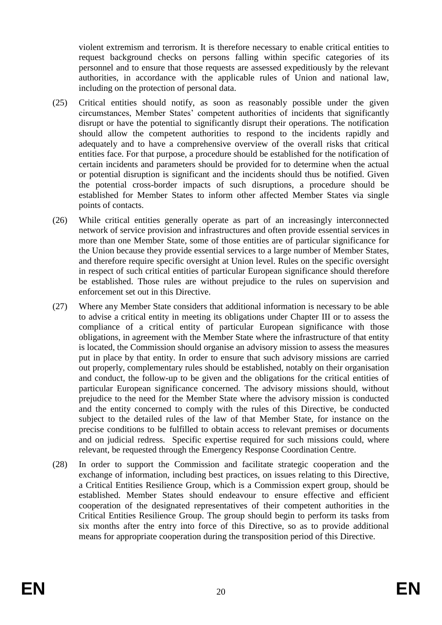violent extremism and terrorism. It is therefore necessary to enable critical entities to request background checks on persons falling within specific categories of its personnel and to ensure that those requests are assessed expeditiously by the relevant authorities, in accordance with the applicable rules of Union and national law, including on the protection of personal data.

- (25) Critical entities should notify, as soon as reasonably possible under the given circumstances, Member States' competent authorities of incidents that significantly disrupt or have the potential to significantly disrupt their operations. The notification should allow the competent authorities to respond to the incidents rapidly and adequately and to have a comprehensive overview of the overall risks that critical entities face. For that purpose, a procedure should be established for the notification of certain incidents and parameters should be provided for to determine when the actual or potential disruption is significant and the incidents should thus be notified. Given the potential cross-border impacts of such disruptions, a procedure should be established for Member States to inform other affected Member States via single points of contacts.
- (26) While critical entities generally operate as part of an increasingly interconnected network of service provision and infrastructures and often provide essential services in more than one Member State, some of those entities are of particular significance for the Union because they provide essential services to a large number of Member States, and therefore require specific oversight at Union level. Rules on the specific oversight in respect of such critical entities of particular European significance should therefore be established. Those rules are without prejudice to the rules on supervision and enforcement set out in this Directive.
- (27) Where any Member State considers that additional information is necessary to be able to advise a critical entity in meeting its obligations under Chapter III or to assess the compliance of a critical entity of particular European significance with those obligations, in agreement with the Member State where the infrastructure of that entity is located, the Commission should organise an advisory mission to assess the measures put in place by that entity. In order to ensure that such advisory missions are carried out properly, complementary rules should be established, notably on their organisation and conduct, the follow-up to be given and the obligations for the critical entities of particular European significance concerned. The advisory missions should, without prejudice to the need for the Member State where the advisory mission is conducted and the entity concerned to comply with the rules of this Directive, be conducted subject to the detailed rules of the law of that Member State, for instance on the precise conditions to be fulfilled to obtain access to relevant premises or documents and on judicial redress. Specific expertise required for such missions could, where relevant, be requested through the Emergency Response Coordination Centre*.*
- (28) In order to support the Commission and facilitate strategic cooperation and the exchange of information, including best practices, on issues relating to this Directive, a Critical Entities Resilience Group, which is a Commission expert group, should be established. Member States should endeavour to ensure effective and efficient cooperation of the designated representatives of their competent authorities in the Critical Entities Resilience Group. The group should begin to perform its tasks from six months after the entry into force of this Directive, so as to provide additional means for appropriate cooperation during the transposition period of this Directive.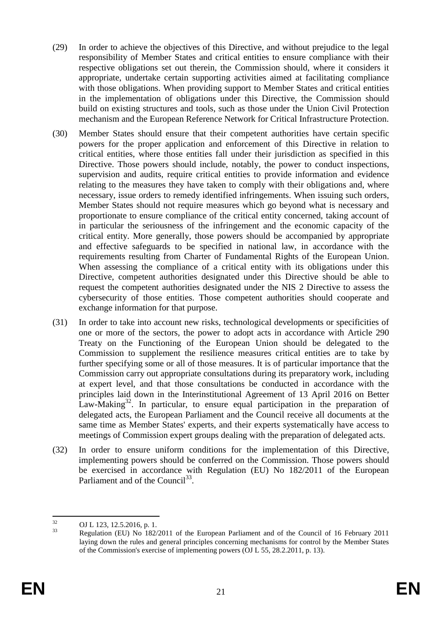- (29) In order to achieve the objectives of this Directive, and without prejudice to the legal responsibility of Member States and critical entities to ensure compliance with their respective obligations set out therein, the Commission should, where it considers it appropriate, undertake certain supporting activities aimed at facilitating compliance with those obligations. When providing support to Member States and critical entities in the implementation of obligations under this Directive, the Commission should build on existing structures and tools, such as those under the Union Civil Protection mechanism and the European Reference Network for Critical Infrastructure Protection.
- (30) Member States should ensure that their competent authorities have certain specific powers for the proper application and enforcement of this Directive in relation to critical entities, where those entities fall under their jurisdiction as specified in this Directive. Those powers should include, notably, the power to conduct inspections, supervision and audits, require critical entities to provide information and evidence relating to the measures they have taken to comply with their obligations and, where necessary, issue orders to remedy identified infringements. When issuing such orders, Member States should not require measures which go beyond what is necessary and proportionate to ensure compliance of the critical entity concerned, taking account of in particular the seriousness of the infringement and the economic capacity of the critical entity. More generally, those powers should be accompanied by appropriate and effective safeguards to be specified in national law, in accordance with the requirements resulting from Charter of Fundamental Rights of the European Union. When assessing the compliance of a critical entity with its obligations under this Directive, competent authorities designated under this Directive should be able to request the competent authorities designated under the NIS 2 Directive to assess the cybersecurity of those entities. Those competent authorities should cooperate and exchange information for that purpose.
- (31) In order to take into account new risks, technological developments or specificities of one or more of the sectors, the power to adopt acts in accordance with Article 290 Treaty on the Functioning of the European Union should be delegated to the Commission to supplement the resilience measures critical entities are to take by further specifying some or all of those measures. It is of particular importance that the Commission carry out appropriate consultations during its preparatory work, including at expert level, and that those consultations be conducted in accordance with the principles laid down in the Interinstitutional Agreement of 13 April 2016 on Better Law-Making<sup>32</sup>. In particular, to ensure equal participation in the preparation of delegated acts, the European Parliament and the Council receive all documents at the same time as Member States' experts, and their experts systematically have access to meetings of Commission expert groups dealing with the preparation of delegated acts.
- (32) In order to ensure uniform conditions for the implementation of this Directive, implementing powers should be conferred on the Commission. Those powers should be exercised in accordance with Regulation (EU) No 182/2011 of the European Parliament and of the Council<sup>33</sup>.

 $32$  $^{32}$  OJ L 123, 12.5.2016, p. 1.<br> $^{33}$  President CID Na 192<sup>6</sup>

<sup>33</sup> Regulation (EU) No 182/2011 of the European Parliament and of the Council of 16 February 2011 laying down the rules and general principles concerning mechanisms for control by the Member States of the Commission's exercise of implementing powers (OJ L 55, 28.2.2011, p. 13).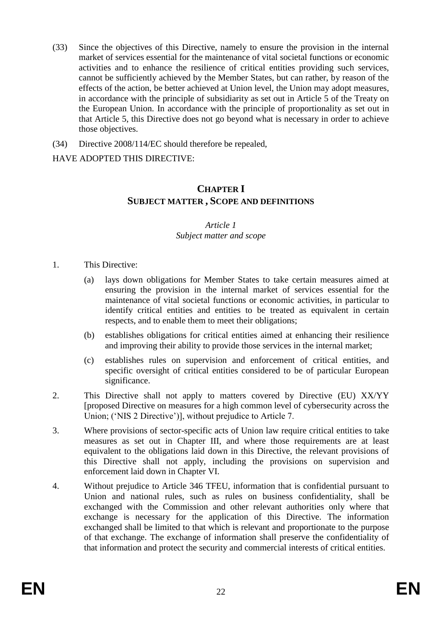- (33) Since the objectives of this Directive, namely to ensure the provision in the internal market of services essential for the maintenance of vital societal functions or economic activities and to enhance the resilience of critical entities providing such services, cannot be sufficiently achieved by the Member States, but can rather, by reason of the effects of the action, be better achieved at Union level, the Union may adopt measures, in accordance with the principle of subsidiarity as set out in Article 5 of the Treaty on the European Union. In accordance with the principle of proportionality as set out in that Article 5, this Directive does not go beyond what is necessary in order to achieve those objectives.
- (34) Directive 2008/114/EC should therefore be repealed,

### HAVE ADOPTED THIS DIRECTIVE:

## **CHAPTER I SUBJECT MATTER , SCOPE AND DEFINITIONS**

#### *Article 1 Subject matter and scope*

- 1. This Directive:
	- (a) lays down obligations for Member States to take certain measures aimed at ensuring the provision in the internal market of services essential for the maintenance of vital societal functions or economic activities, in particular to identify critical entities and entities to be treated as equivalent in certain respects, and to enable them to meet their obligations;
	- (b) establishes obligations for critical entities aimed at enhancing their resilience and improving their ability to provide those services in the internal market;
	- (c) establishes rules on supervision and enforcement of critical entities, and specific oversight of critical entities considered to be of particular European significance.
- 2. This Directive shall not apply to matters covered by Directive (EU) XX/YY [proposed Directive on measures for a high common level of cybersecurity across the Union; ('NIS 2 Directive')], without prejudice to Article 7.
- 3. Where provisions of sector-specific acts of Union law require critical entities to take measures as set out in Chapter III, and where those requirements are at least equivalent to the obligations laid down in this Directive, the relevant provisions of this Directive shall not apply, including the provisions on supervision and enforcement laid down in Chapter VI.
- 4. Without prejudice to Article 346 TFEU, information that is confidential pursuant to Union and national rules, such as rules on business confidentiality, shall be exchanged with the Commission and other relevant authorities only where that exchange is necessary for the application of this Directive. The information exchanged shall be limited to that which is relevant and proportionate to the purpose of that exchange. The exchange of information shall preserve the confidentiality of that information and protect the security and commercial interests of critical entities.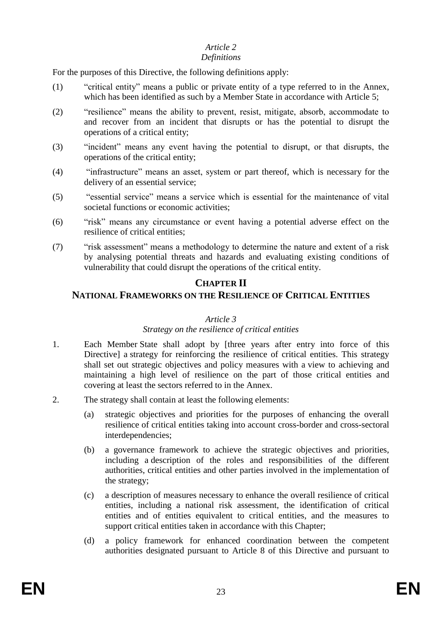#### *Definitions*

For the purposes of this Directive, the following definitions apply:

- (1) "critical entity" means a public or private entity of a type referred to in the Annex, which has been identified as such by a Member State in accordance with Article 5;
- (2) "resilience" means the ability to prevent, resist, mitigate, absorb, accommodate to and recover from an incident that disrupts or has the potential to disrupt the operations of a critical entity;
- (3) "incident" means any event having the potential to disrupt, or that disrupts, the operations of the critical entity;
- (4) "infrastructure" means an asset, system or part thereof, which is necessary for the delivery of an essential service;
- (5) "essential service" means a service which is essential for the maintenance of vital societal functions or economic activities;
- (6) "risk" means any circumstance or event having a potential adverse effect on the resilience of critical entities;
- (7) "risk assessment" means a methodology to determine the nature and extent of a risk by analysing potential threats and hazards and evaluating existing conditions of vulnerability that could disrupt the operations of the critical entity.

## **CHAPTER II**

## **NATIONAL FRAMEWORKS ON THE RESILIENCE OF CRITICAL ENTITIES**

#### *Article 3*

#### *Strategy on the resilience of critical entities*

- 1. Each Member State shall adopt by [three years after entry into force of this Directive] a strategy for reinforcing the resilience of critical entities. This strategy shall set out strategic objectives and policy measures with a view to achieving and maintaining a high level of resilience on the part of those critical entities and covering at least the sectors referred to in the Annex.
- 2. The strategy shall contain at least the following elements:
	- (a) strategic objectives and priorities for the purposes of enhancing the overall resilience of critical entities taking into account cross-border and cross-sectoral interdependencies;
	- (b) a governance framework to achieve the strategic objectives and priorities, including a description of the roles and responsibilities of the different authorities, critical entities and other parties involved in the implementation of the strategy;
	- (c) a description of measures necessary to enhance the overall resilience of critical entities, including a national risk assessment, the identification of critical entities and of entities equivalent to critical entities, and the measures to support critical entities taken in accordance with this Chapter;
	- (d) a policy framework for enhanced coordination between the competent authorities designated pursuant to Article 8 of this Directive and pursuant to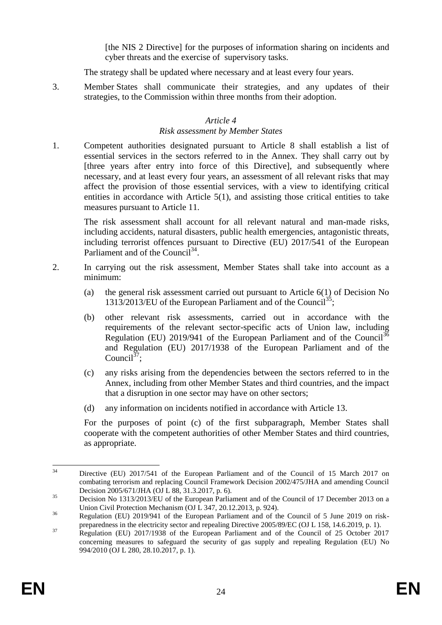[the NIS 2 Directive] for the purposes of information sharing on incidents and cyber threats and the exercise of supervisory tasks.

The strategy shall be updated where necessary and at least every four years.

3. Member States shall communicate their strategies, and any updates of their strategies, to the Commission within three months from their adoption.

#### *Article 4*

#### *Risk assessment by Member States*

1. Competent authorities designated pursuant to Article 8 shall establish a list of essential services in the sectors referred to in the Annex. They shall carry out by [three years after entry into force of this Directive], and subsequently where necessary, and at least every four years, an assessment of all relevant risks that may affect the provision of those essential services, with a view to identifying critical entities in accordance with Article 5(1), and assisting those critical entities to take measures pursuant to Article 11.

The risk assessment shall account for all relevant natural and man-made risks, including accidents, natural disasters, public health emergencies, antagonistic threats, including terrorist offences pursuant to Directive (EU) 2017/541 of the European Parliament and of the Council<sup>34</sup>.

- 2. In carrying out the risk assessment, Member States shall take into account as a minimum:
	- (a) the general risk assessment carried out pursuant to Article 6(1) of Decision No 1313/2013/EU of the European Parliament and of the Council<sup>35</sup>;
	- (b) other relevant risk assessments, carried out in accordance with the requirements of the relevant sector-specific acts of Union law, including Regulation (EU) 2019/941 of the European Parliament and of the Council<sup>36</sup> and Regulation (EU) 2017/1938 of the European Parliament and of the Council<sup>37</sup>;
	- (c) any risks arising from the dependencies between the sectors referred to in the Annex, including from other Member States and third countries, and the impact that a disruption in one sector may have on other sectors;
	- (d) any information on incidents notified in accordance with Article 13.

For the purposes of point (c) of the first subparagraph, Member States shall cooperate with the competent authorities of other Member States and third countries, as appropriate.

 $3<sub>A</sub>$ <sup>34</sup> Directive (EU) 2017/541 of the European Parliament and of the Council of 15 March 2017 on combating terrorism and replacing Council Framework Decision 2002/475/JHA and amending Council Decision 2005/671/JHA (OJ L 88, 31.3.2017, p. 6).

<sup>&</sup>lt;sup>35</sup> Decision No 1313/2013/EU of the European Parliament and of the Council of 17 December 2013 on a Union Civil Protection Mechanism (OJ L 347, 20.12.2013, p. 924).

<sup>&</sup>lt;sup>36</sup> Regulation (EU) 2019/941 of the European Parliament and of the Council of 5 June 2019 on riskpreparedness in the electricity sector and repealing Directive 2005/89/EC (OJ L 158, 14.6.2019, p. 1).

<sup>&</sup>lt;sup>37</sup> Regulation (EU) 2017/1938 of the European Parliament and of the Council of 25 October 2017 concerning measures to safeguard the security of gas supply and repealing Regulation (EU) No 994/2010 (OJ L 280, 28.10.2017, p. 1).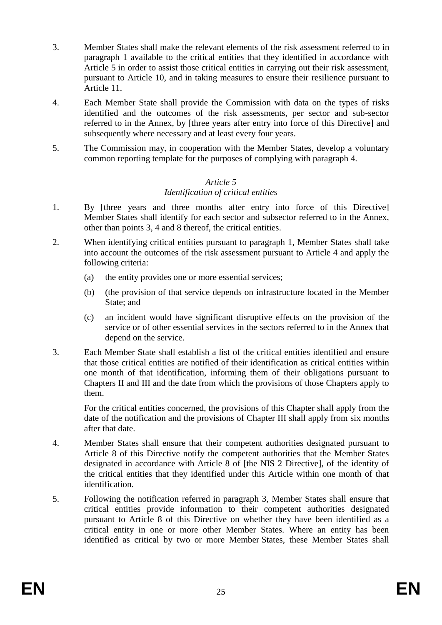- 3. Member States shall make the relevant elements of the risk assessment referred to in paragraph 1 available to the critical entities that they identified in accordance with Article 5 in order to assist those critical entities in carrying out their risk assessment, pursuant to Article 10, and in taking measures to ensure their resilience pursuant to Article 11.
- 4. Each Member State shall provide the Commission with data on the types of risks identified and the outcomes of the risk assessments, per sector and sub-sector referred to in the Annex, by [three years after entry into force of this Directive] and subsequently where necessary and at least every four years.
- 5. The Commission may, in cooperation with the Member States, develop a voluntary common reporting template for the purposes of complying with paragraph 4.

#### *Article 5 Identification of critical entities*

- 1. By [three years and three months after entry into force of this Directive] Member States shall identify for each sector and subsector referred to in the Annex, other than points 3, 4 and 8 thereof, the critical entities.
- 2. When identifying critical entities pursuant to paragraph 1, Member States shall take into account the outcomes of the risk assessment pursuant to Article 4 and apply the following criteria:
	- (a) the entity provides one or more essential services;
	- (b) (the provision of that service depends on infrastructure located in the Member State; and
	- (c) an incident would have significant disruptive effects on the provision of the service or of other essential services in the sectors referred to in the Annex that depend on the service.
- 3. Each Member State shall establish a list of the critical entities identified and ensure that those critical entities are notified of their identification as critical entities within one month of that identification, informing them of their obligations pursuant to Chapters II and III and the date from which the provisions of those Chapters apply to them.

For the critical entities concerned, the provisions of this Chapter shall apply from the date of the notification and the provisions of Chapter III shall apply from six months after that date.

- 4. Member States shall ensure that their competent authorities designated pursuant to Article 8 of this Directive notify the competent authorities that the Member States designated in accordance with Article 8 of [the NIS 2 Directive], of the identity of the critical entities that they identified under this Article within one month of that identification.
- 5. Following the notification referred in paragraph 3, Member States shall ensure that critical entities provide information to their competent authorities designated pursuant to Article 8 of this Directive on whether they have been identified as a critical entity in one or more other Member States. Where an entity has been identified as critical by two or more Member States, these Member States shall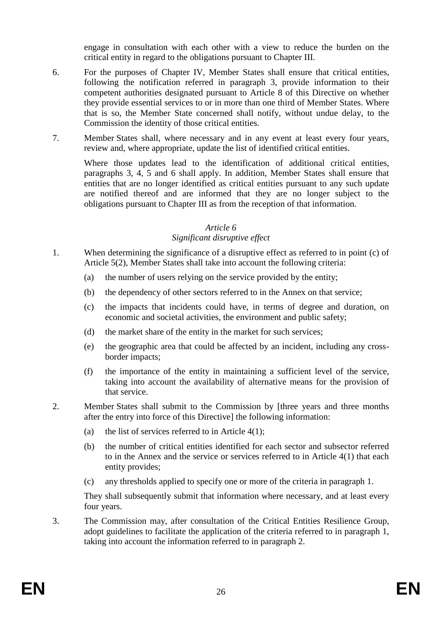engage in consultation with each other with a view to reduce the burden on the critical entity in regard to the obligations pursuant to Chapter III.

- 6. For the purposes of Chapter IV, Member States shall ensure that critical entities, following the notification referred in paragraph 3, provide information to their competent authorities designated pursuant to Article 8 of this Directive on whether they provide essential services to or in more than one third of Member States. Where that is so, the Member State concerned shall notify, without undue delay, to the Commission the identity of those critical entities.
- 7. Member States shall, where necessary and in any event at least every four years, review and, where appropriate, update the list of identified critical entities.

Where those updates lead to the identification of additional critical entities, paragraphs 3, 4, 5 and 6 shall apply. In addition, Member States shall ensure that entities that are no longer identified as critical entities pursuant to any such update are notified thereof and are informed that they are no longer subject to the obligations pursuant to Chapter III as from the reception of that information.

#### *Article 6*

#### *Significant disruptive effect*

- 1. When determining the significance of a disruptive effect as referred to in point (c) of Article 5(2), Member States shall take into account the following criteria:
	- (a) the number of users relying on the service provided by the entity;
	- (b) the dependency of other sectors referred to in the Annex on that service;
	- (c) the impacts that incidents could have, in terms of degree and duration, on economic and societal activities, the environment and public safety;
	- (d) the market share of the entity in the market for such services;
	- (e) the geographic area that could be affected by an incident, including any crossborder impacts;
	- (f) the importance of the entity in maintaining a sufficient level of the service, taking into account the availability of alternative means for the provision of that service.
- 2. Member States shall submit to the Commission by [three years and three months after the entry into force of this Directive] the following information:
	- (a) the list of services referred to in Article  $4(1)$ ;
	- (b) the number of critical entities identified for each sector and subsector referred to in the Annex and the service or services referred to in Article 4(1) that each entity provides;
	- (c) any thresholds applied to specify one or more of the criteria in paragraph 1.

They shall subsequently submit that information where necessary, and at least every four years.

3. The Commission may, after consultation of the Critical Entities Resilience Group, adopt guidelines to facilitate the application of the criteria referred to in paragraph 1, taking into account the information referred to in paragraph 2.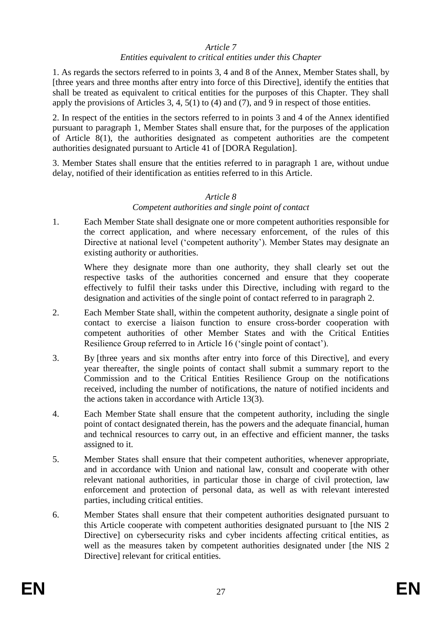#### *Entities equivalent to critical entities under this Chapter*

1. As regards the sectors referred to in points 3, 4 and 8 of the Annex, Member States shall, by [three years and three months after entry into force of this Directive], identify the entities that shall be treated as equivalent to critical entities for the purposes of this Chapter. They shall apply the provisions of Articles 3, 4, 5(1) to (4) and (7), and 9 in respect of those entities.

2. In respect of the entities in the sectors referred to in points 3 and 4 of the Annex identified pursuant to paragraph 1, Member States shall ensure that, for the purposes of the application of Article 8(1), the authorities designated as competent authorities are the competent authorities designated pursuant to Article 41 of [DORA Regulation].

3. Member States shall ensure that the entities referred to in paragraph 1 are, without undue delay, notified of their identification as entities referred to in this Article.

#### *Article 8 Competent authorities and single point of contact*

1. Each Member State shall designate one or more competent authorities responsible for the correct application, and where necessary enforcement, of the rules of this Directive at national level ('competent authority'). Member States may designate an existing authority or authorities.

Where they designate more than one authority, they shall clearly set out the respective tasks of the authorities concerned and ensure that they cooperate effectively to fulfil their tasks under this Directive, including with regard to the designation and activities of the single point of contact referred to in paragraph 2.

- 2. Each Member State shall, within the competent authority, designate a single point of contact to exercise a liaison function to ensure cross-border cooperation with competent authorities of other Member States and with the Critical Entities Resilience Group referred to in Article 16 ('single point of contact').
- 3. By [three years and six months after entry into force of this Directive], and every year thereafter, the single points of contact shall submit a summary report to the Commission and to the Critical Entities Resilience Group on the notifications received, including the number of notifications, the nature of notified incidents and the actions taken in accordance with Article 13(3).
- 4. Each Member State shall ensure that the competent authority, including the single point of contact designated therein, has the powers and the adequate financial, human and technical resources to carry out, in an effective and efficient manner, the tasks assigned to it.
- 5. Member States shall ensure that their competent authorities, whenever appropriate, and in accordance with Union and national law, consult and cooperate with other relevant national authorities, in particular those in charge of civil protection, law enforcement and protection of personal data, as well as with relevant interested parties, including critical entities.
- 6. Member States shall ensure that their competent authorities designated pursuant to this Article cooperate with competent authorities designated pursuant to [the NIS 2 Directive] on cybersecurity risks and cyber incidents affecting critical entities, as well as the measures taken by competent authorities designated under [the NIS 2 Directive] relevant for critical entities.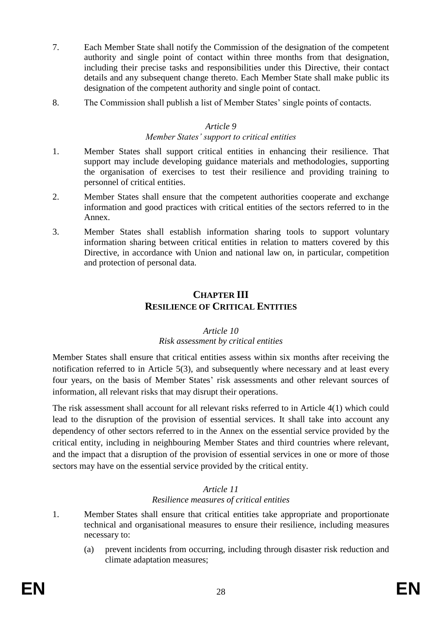- 7. Each Member State shall notify the Commission of the designation of the competent authority and single point of contact within three months from that designation, including their precise tasks and responsibilities under this Directive, their contact details and any subsequent change thereto. Each Member State shall make public its designation of the competent authority and single point of contact.
- 8. The Commission shall publish a list of Member States' single points of contacts.

#### *Member States' support to critical entities*

- 1. Member States shall support critical entities in enhancing their resilience. That support may include developing guidance materials and methodologies, supporting the organisation of exercises to test their resilience and providing training to personnel of critical entities.
- 2. Member States shall ensure that the competent authorities cooperate and exchange information and good practices with critical entities of the sectors referred to in the Annex.
- 3. Member States shall establish information sharing tools to support voluntary information sharing between critical entities in relation to matters covered by this Directive, in accordance with Union and national law on, in particular, competition and protection of personal data.

## **CHAPTER III RESILIENCE OF CRITICAL ENTITIES**

#### *Article 10 Risk assessment by critical entities*

Member States shall ensure that critical entities assess within six months after receiving the notification referred to in Article 5(3), and subsequently where necessary and at least every four years, on the basis of Member States' risk assessments and other relevant sources of information, all relevant risks that may disrupt their operations.

The risk assessment shall account for all relevant risks referred to in Article 4(1) which could lead to the disruption of the provision of essential services. It shall take into account any dependency of other sectors referred to in the Annex on the essential service provided by the critical entity, including in neighbouring Member States and third countries where relevant, and the impact that a disruption of the provision of essential services in one or more of those sectors may have on the essential service provided by the critical entity.

#### *Article 11 Resilience measures of critical entities*

- 1. Member States shall ensure that critical entities take appropriate and proportionate technical and organisational measures to ensure their resilience, including measures necessary to:
	- (a) prevent incidents from occurring, including through disaster risk reduction and climate adaptation measures;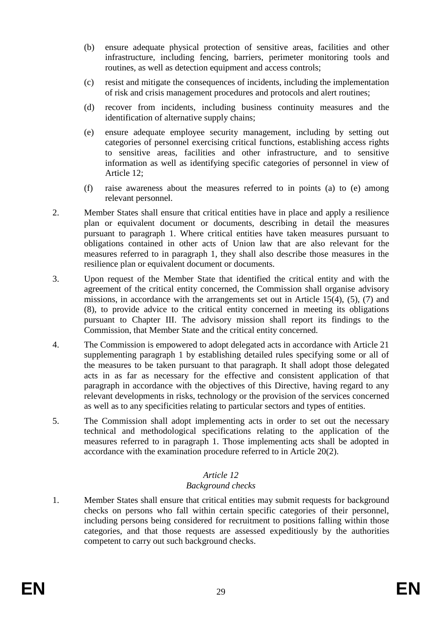- (b) ensure adequate physical protection of sensitive areas, facilities and other infrastructure, including fencing, barriers, perimeter monitoring tools and routines, as well as detection equipment and access controls;
- (c) resist and mitigate the consequences of incidents, including the implementation of risk and crisis management procedures and protocols and alert routines;
- (d) recover from incidents, including business continuity measures and the identification of alternative supply chains;
- (e) ensure adequate employee security management, including by setting out categories of personnel exercising critical functions, establishing access rights to sensitive areas, facilities and other infrastructure, and to sensitive information as well as identifying specific categories of personnel in view of Article 12;
- (f) raise awareness about the measures referred to in points (a) to (e) among relevant personnel.
- 2. Member States shall ensure that critical entities have in place and apply a resilience plan or equivalent document or documents, describing in detail the measures pursuant to paragraph 1. Where critical entities have taken measures pursuant to obligations contained in other acts of Union law that are also relevant for the measures referred to in paragraph 1, they shall also describe those measures in the resilience plan or equivalent document or documents.
- 3. Upon request of the Member State that identified the critical entity and with the agreement of the critical entity concerned, the Commission shall organise advisory missions, in accordance with the arrangements set out in Article 15(4), (5), (7) and (8), to provide advice to the critical entity concerned in meeting its obligations pursuant to Chapter III. The advisory mission shall report its findings to the Commission, that Member State and the critical entity concerned.
- 4. The Commission is empowered to adopt delegated acts in accordance with Article 21 supplementing paragraph 1 by establishing detailed rules specifying some or all of the measures to be taken pursuant to that paragraph. It shall adopt those delegated acts in as far as necessary for the effective and consistent application of that paragraph in accordance with the objectives of this Directive, having regard to any relevant developments in risks, technology or the provision of the services concerned as well as to any specificities relating to particular sectors and types of entities.
- 5. The Commission shall adopt implementing acts in order to set out the necessary technical and methodological specifications relating to the application of the measures referred to in paragraph 1. Those implementing acts shall be adopted in accordance with the examination procedure referred to in Article 20(2).

### *Background checks*

1. Member States shall ensure that critical entities may submit requests for background checks on persons who fall within certain specific categories of their personnel, including persons being considered for recruitment to positions falling within those categories, and that those requests are assessed expeditiously by the authorities competent to carry out such background checks.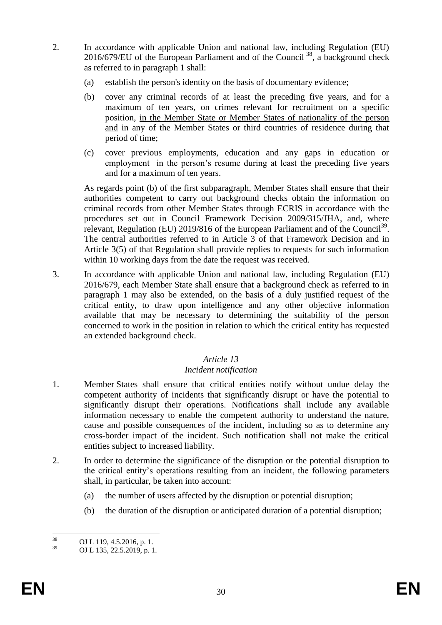- 2. In accordance with applicable Union and national law, including Regulation (EU) 2016/679/EU of the European Parliament and of the Council<sup>38</sup>, a background check as referred to in paragraph 1 shall:
	- (a) establish the person's identity on the basis of documentary evidence;
	- (b) cover any criminal records of at least the preceding five years, and for a maximum of ten years, on crimes relevant for recruitment on a specific position, in the Member State or Member States of nationality of the person and in any of the Member States or third countries of residence during that period of time;
	- (c) cover previous employments, education and any gaps in education or employment in the person's resume during at least the preceding five years and for a maximum of ten years.

As regards point (b) of the first subparagraph, Member States shall ensure that their authorities competent to carry out background checks obtain the information on criminal records from other Member States through ECRIS in accordance with the procedures set out in Council Framework Decision 2009/315/JHA, and, where relevant, Regulation (EU) 2019/816 of the European Parliament and of the Council<sup>39</sup>. The central authorities referred to in Article 3 of that Framework Decision and in Article 3(5) of that Regulation shall provide replies to requests for such information within 10 working days from the date the request was received.

3. In accordance with applicable Union and national law, including Regulation (EU) 2016/679, each Member State shall ensure that a background check as referred to in paragraph 1 may also be extended, on the basis of a duly justified request of the critical entity, to draw upon intelligence and any other objective information available that may be necessary to determining the suitability of the person concerned to work in the position in relation to which the critical entity has requested an extended background check.

#### *Article 13*

## *Incident notification*

- 1. Member States shall ensure that critical entities notify without undue delay the competent authority of incidents that significantly disrupt or have the potential to significantly disrupt their operations. Notifications shall include any available information necessary to enable the competent authority to understand the nature, cause and possible consequences of the incident, including so as to determine any cross-border impact of the incident. Such notification shall not make the critical entities subject to increased liability.
- 2. In order to determine the significance of the disruption or the potential disruption to the critical entity's operations resulting from an incident, the following parameters shall, in particular, be taken into account:
	- (a) the number of users affected by the disruption or potential disruption;
	- (b) the duration of the disruption or anticipated duration of a potential disruption;

<sup>38</sup>  $^{38}$  OJ L 119, 4.5.2016, p. 1.

OJ L 135, 22.5.2019, p. 1.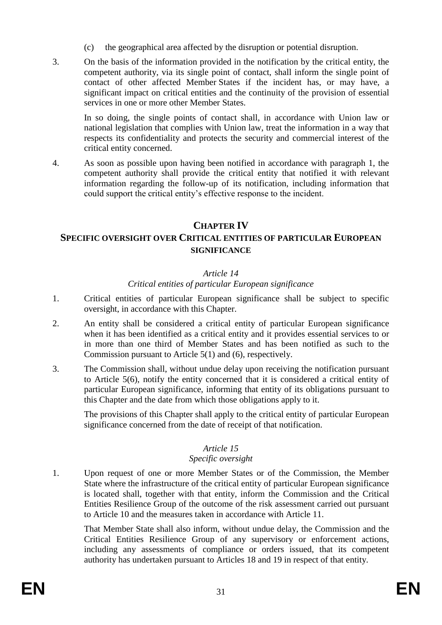- (c) the geographical area affected by the disruption or potential disruption.
- 3. On the basis of the information provided in the notification by the critical entity, the competent authority, via its single point of contact, shall inform the single point of contact of other affected Member States if the incident has, or may have, a significant impact on critical entities and the continuity of the provision of essential services in one or more other Member States.

In so doing, the single points of contact shall, in accordance with Union law or national legislation that complies with Union law, treat the information in a way that respects its confidentiality and protects the security and commercial interest of the critical entity concerned.

4. As soon as possible upon having been notified in accordance with paragraph 1, the competent authority shall provide the critical entity that notified it with relevant information regarding the follow-up of its notification, including information that could support the critical entity's effective response to the incident.

## **CHAPTER IV**

## **SPECIFIC OVERSIGHT OVER CRITICAL ENTITIES OF PARTICULAR EUROPEAN SIGNIFICANCE**

## *Article 14*

#### *Critical entities of particular European significance*

- 1. Critical entities of particular European significance shall be subject to specific oversight, in accordance with this Chapter.
- 2. An entity shall be considered a critical entity of particular European significance when it has been identified as a critical entity and it provides essential services to or in more than one third of Member States and has been notified as such to the Commission pursuant to Article 5(1) and (6), respectively.
- 3. The Commission shall, without undue delay upon receiving the notification pursuant to Article 5(6), notify the entity concerned that it is considered a critical entity of particular European significance, informing that entity of its obligations pursuant to this Chapter and the date from which those obligations apply to it.

The provisions of this Chapter shall apply to the critical entity of particular European significance concerned from the date of receipt of that notification.

### *Article 15*

### *Specific oversight*

1. Upon request of one or more Member States or of the Commission, the Member State where the infrastructure of the critical entity of particular European significance is located shall, together with that entity, inform the Commission and the Critical Entities Resilience Group of the outcome of the risk assessment carried out pursuant to Article 10 and the measures taken in accordance with Article 11.

That Member State shall also inform, without undue delay, the Commission and the Critical Entities Resilience Group of any supervisory or enforcement actions, including any assessments of compliance or orders issued, that its competent authority has undertaken pursuant to Articles 18 and 19 in respect of that entity.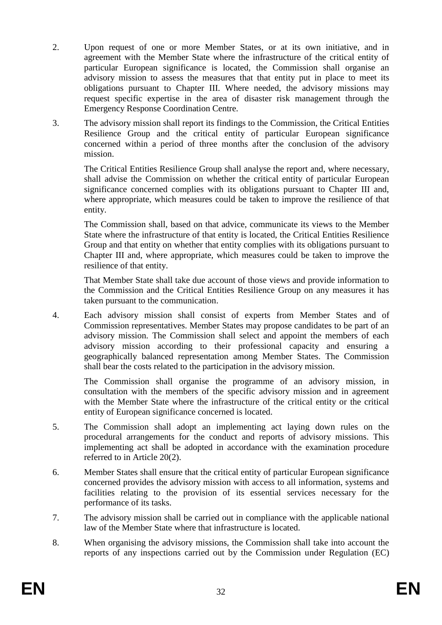- 2. Upon request of one or more Member States, or at its own initiative, and in agreement with the Member State where the infrastructure of the critical entity of particular European significance is located, the Commission shall organise an advisory mission to assess the measures that that entity put in place to meet its obligations pursuant to Chapter III. Where needed, the advisory missions may request specific expertise in the area of disaster risk management through the Emergency Response Coordination Centre.
- 3. The advisory mission shall report its findings to the Commission, the Critical Entities Resilience Group and the critical entity of particular European significance concerned within a period of three months after the conclusion of the advisory mission.

The Critical Entities Resilience Group shall analyse the report and, where necessary, shall advise the Commission on whether the critical entity of particular European significance concerned complies with its obligations pursuant to Chapter III and, where appropriate, which measures could be taken to improve the resilience of that entity.

The Commission shall, based on that advice, communicate its views to the Member State where the infrastructure of that entity is located, the Critical Entities Resilience Group and that entity on whether that entity complies with its obligations pursuant to Chapter III and, where appropriate, which measures could be taken to improve the resilience of that entity.

That Member State shall take due account of those views and provide information to the Commission and the Critical Entities Resilience Group on any measures it has taken pursuant to the communication.

4. Each advisory mission shall consist of experts from Member States and of Commission representatives. Member States may propose candidates to be part of an advisory mission. The Commission shall select and appoint the members of each advisory mission according to their professional capacity and ensuring a geographically balanced representation among Member States. The Commission shall bear the costs related to the participation in the advisory mission.

The Commission shall organise the programme of an advisory mission, in consultation with the members of the specific advisory mission and in agreement with the Member State where the infrastructure of the critical entity or the critical entity of European significance concerned is located.

- 5. The Commission shall adopt an implementing act laying down rules on the procedural arrangements for the conduct and reports of advisory missions. This implementing act shall be adopted in accordance with the examination procedure referred to in Article 20(2).
- 6. Member States shall ensure that the critical entity of particular European significance concerned provides the advisory mission with access to all information, systems and facilities relating to the provision of its essential services necessary for the performance of its tasks.
- 7. The advisory mission shall be carried out in compliance with the applicable national law of the Member State where that infrastructure is located.
- 8. When organising the advisory missions, the Commission shall take into account the reports of any inspections carried out by the Commission under Regulation (EC)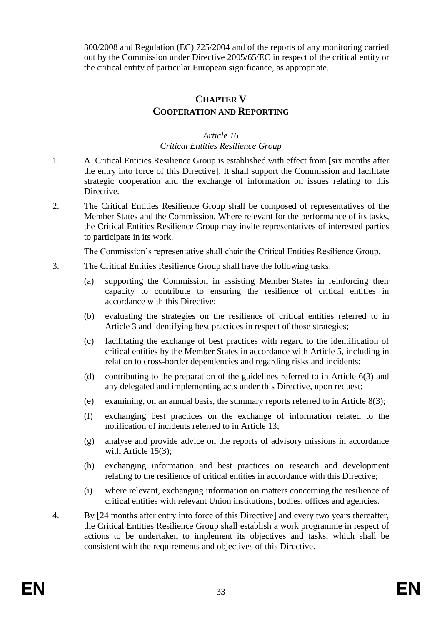300/2008 and Regulation (EC) 725/2004 and of the reports of any monitoring carried out by the Commission under Directive 2005/65/EC in respect of the critical entity or the critical entity of particular European significance, as appropriate.

## **CHAPTER V COOPERATION AND REPORTING**

#### *Article 16 Critical Entities Resilience Group*

- 1. A Critical Entities Resilience Group is established with effect from [six months after the entry into force of this Directive]. It shall support the Commission and facilitate strategic cooperation and the exchange of information on issues relating to this Directive.
- 2. The Critical Entities Resilience Group shall be composed of representatives of the Member States and the Commission. Where relevant for the performance of its tasks, the Critical Entities Resilience Group may invite representatives of interested parties to participate in its work.

The Commission's representative shall chair the Critical Entities Resilience Group.

- 3. The Critical Entities Resilience Group shall have the following tasks:
	- (a) supporting the Commission in assisting Member States in reinforcing their capacity to contribute to ensuring the resilience of critical entities in accordance with this Directive;
	- (b) evaluating the strategies on the resilience of critical entities referred to in Article 3 and identifying best practices in respect of those strategies;
	- (c) facilitating the exchange of best practices with regard to the identification of critical entities by the Member States in accordance with Article 5, including in relation to cross-border dependencies and regarding risks and incidents;
	- (d) contributing to the preparation of the guidelines referred to in Article 6(3) and any delegated and implementing acts under this Directive, upon request;
	- (e) examining, on an annual basis, the summary reports referred to in Article 8(3);
	- (f) exchanging best practices on the exchange of information related to the notification of incidents referred to in Article 13;
	- (g) analyse and provide advice on the reports of advisory missions in accordance with Article 15(3):
	- (h) exchanging information and best practices on research and development relating to the resilience of critical entities in accordance with this Directive;
	- (i) where relevant, exchanging information on matters concerning the resilience of critical entities with relevant Union institutions, bodies, offices and agencies.
- 4. By [24 months after entry into force of this Directive] and every two years thereafter, the Critical Entities Resilience Group shall establish a work programme in respect of actions to be undertaken to implement its objectives and tasks, which shall be consistent with the requirements and objectives of this Directive.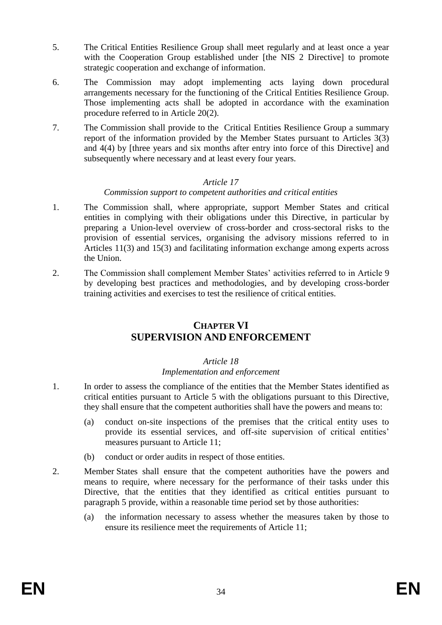- 5. The Critical Entities Resilience Group shall meet regularly and at least once a year with the Cooperation Group established under [the NIS 2 Directive] to promote strategic cooperation and exchange of information.
- 6. The Commission may adopt implementing acts laying down procedural arrangements necessary for the functioning of the Critical Entities Resilience Group. Those implementing acts shall be adopted in accordance with the examination procedure referred to in Article 20(2).
- 7. The Commission shall provide to the Critical Entities Resilience Group a summary report of the information provided by the Member States pursuant to Articles 3(3) and 4(4) by [three years and six months after entry into force of this Directive] and subsequently where necessary and at least every four years.

#### *Commission support to competent authorities and critical entities*

- 1. The Commission shall, where appropriate, support Member States and critical entities in complying with their obligations under this Directive, in particular by preparing a Union-level overview of cross-border and cross-sectoral risks to the provision of essential services, organising the advisory missions referred to in Articles 11(3) and 15(3) and facilitating information exchange among experts across the Union.
- 2. The Commission shall complement Member States' activities referred to in Article 9 by developing best practices and methodologies, and by developing cross-border training activities and exercises to test the resilience of critical entities.

## **CHAPTER VI SUPERVISION AND ENFORCEMENT**

### *Article 18*

### *Implementation and enforcement*

- 1. In order to assess the compliance of the entities that the Member States identified as critical entities pursuant to Article 5 with the obligations pursuant to this Directive, they shall ensure that the competent authorities shall have the powers and means to:
	- (a) conduct on-site inspections of the premises that the critical entity uses to provide its essential services, and off-site supervision of critical entities' measures pursuant to Article 11;
	- (b) conduct or order audits in respect of those entities.
- 2. Member States shall ensure that the competent authorities have the powers and means to require, where necessary for the performance of their tasks under this Directive, that the entities that they identified as critical entities pursuant to paragraph 5 provide, within a reasonable time period set by those authorities:
	- (a) the information necessary to assess whether the measures taken by those to ensure its resilience meet the requirements of Article 11;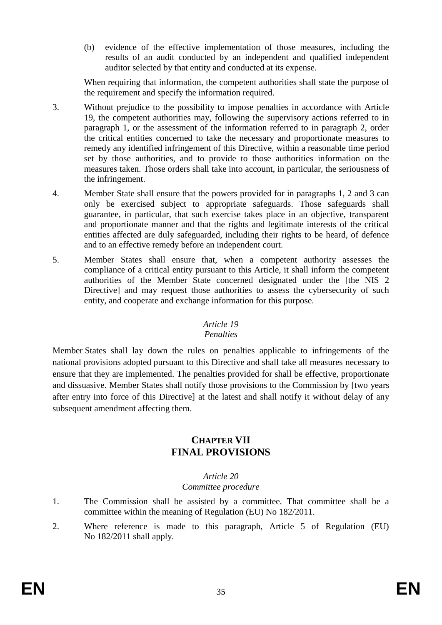(b) evidence of the effective implementation of those measures, including the results of an audit conducted by an independent and qualified independent auditor selected by that entity and conducted at its expense.

When requiring that information, the competent authorities shall state the purpose of the requirement and specify the information required.

- 3. Without prejudice to the possibility to impose penalties in accordance with Article 19, the competent authorities may, following the supervisory actions referred to in paragraph 1, or the assessment of the information referred to in paragraph 2, order the critical entities concerned to take the necessary and proportionate measures to remedy any identified infringement of this Directive, within a reasonable time period set by those authorities, and to provide to those authorities information on the measures taken. Those orders shall take into account, in particular, the seriousness of the infringement.
- 4. Member State shall ensure that the powers provided for in paragraphs 1, 2 and 3 can only be exercised subject to appropriate safeguards. Those safeguards shall guarantee, in particular, that such exercise takes place in an objective, transparent and proportionate manner and that the rights and legitimate interests of the critical entities affected are duly safeguarded, including their rights to be heard, of defence and to an effective remedy before an independent court.
- 5. Member States shall ensure that, when a competent authority assesses the compliance of a critical entity pursuant to this Article, it shall inform the competent authorities of the Member State concerned designated under the [the NIS 2 Directive] and may request those authorities to assess the cybersecurity of such entity, and cooperate and exchange information for this purpose.

### *Article 19*

### *Penalties*

Member States shall lay down the rules on penalties applicable to infringements of the national provisions adopted pursuant to this Directive and shall take all measures necessary to ensure that they are implemented. The penalties provided for shall be effective, proportionate and dissuasive. Member States shall notify those provisions to the Commission by [two years after entry into force of this Directive] at the latest and shall notify it without delay of any subsequent amendment affecting them.

## **CHAPTER VII FINAL PROVISIONS**

### *Article 20*

### *Committee procedure*

- 1. The Commission shall be assisted by a committee. That committee shall be a committee within the meaning of Regulation (EU) No 182/2011.
- 2. Where reference is made to this paragraph, Article 5 of Regulation (EU) No 182/2011 shall apply.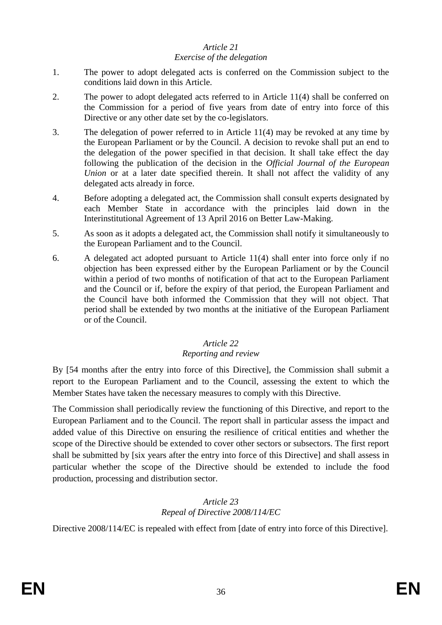#### *Exercise of the delegation*

- 1. The power to adopt delegated acts is conferred on the Commission subject to the conditions laid down in this Article.
- 2. The power to adopt delegated acts referred to in Article 11(4) shall be conferred on the Commission for a period of five years from date of entry into force of this Directive or any other date set by the co-legislators.
- 3. The delegation of power referred to in Article 11(4) may be revoked at any time by the European Parliament or by the Council. A decision to revoke shall put an end to the delegation of the power specified in that decision. It shall take effect the day following the publication of the decision in the *Official Journal of the European Union* or at a later date specified therein. It shall not affect the validity of any delegated acts already in force.
- 4. Before adopting a delegated act, the Commission shall consult experts designated by each Member State in accordance with the principles laid down in the Interinstitutional Agreement of 13 April 2016 on Better Law-Making.
- 5. As soon as it adopts a delegated act, the Commission shall notify it simultaneously to the European Parliament and to the Council.
- 6. A delegated act adopted pursuant to Article 11(4) shall enter into force only if no objection has been expressed either by the European Parliament or by the Council within a period of two months of notification of that act to the European Parliament and the Council or if, before the expiry of that period, the European Parliament and the Council have both informed the Commission that they will not object. That period shall be extended by two months at the initiative of the European Parliament or of the Council.

## *Article 22*

#### *Reporting and review*

By [54 months after the entry into force of this Directive], the Commission shall submit a report to the European Parliament and to the Council, assessing the extent to which the Member States have taken the necessary measures to comply with this Directive.

The Commission shall periodically review the functioning of this Directive, and report to the European Parliament and to the Council. The report shall in particular assess the impact and added value of this Directive on ensuring the resilience of critical entities and whether the scope of the Directive should be extended to cover other sectors or subsectors. The first report shall be submitted by [six years after the entry into force of this Directive] and shall assess in particular whether the scope of the Directive should be extended to include the food production, processing and distribution sector.

### *Article 23 Repeal of Directive 2008/114/EC*

Directive 2008/114/EC is repealed with effect from [date of entry into force of this Directive].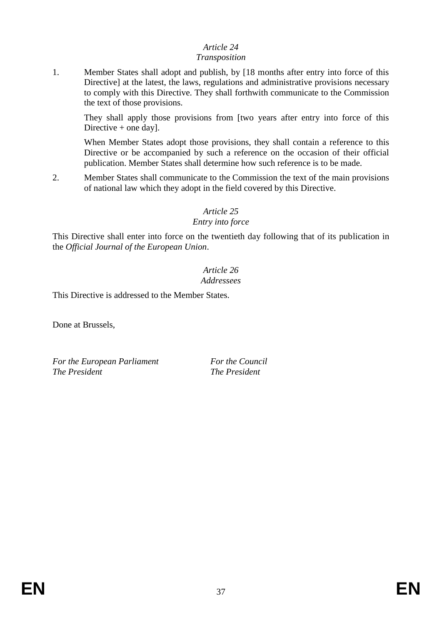### *Transposition*

1. Member States shall adopt and publish, by [18 months after entry into force of this Directive] at the latest, the laws, regulations and administrative provisions necessary to comply with this Directive. They shall forthwith communicate to the Commission the text of those provisions.

They shall apply those provisions from [two years after entry into force of this Directive + one day].

When Member States adopt those provisions, they shall contain a reference to this Directive or be accompanied by such a reference on the occasion of their official publication. Member States shall determine how such reference is to be made.

2. Member States shall communicate to the Commission the text of the main provisions of national law which they adopt in the field covered by this Directive.

## *Article 25*

### *Entry into force*

This Directive shall enter into force on the twentieth day following that of its publication in the *Official Journal of the European Union*.

#### *Article 26 Addressees*

This Directive is addressed to the Member States.

Done at Brussels,

*For the European Parliament For the Council The President The President*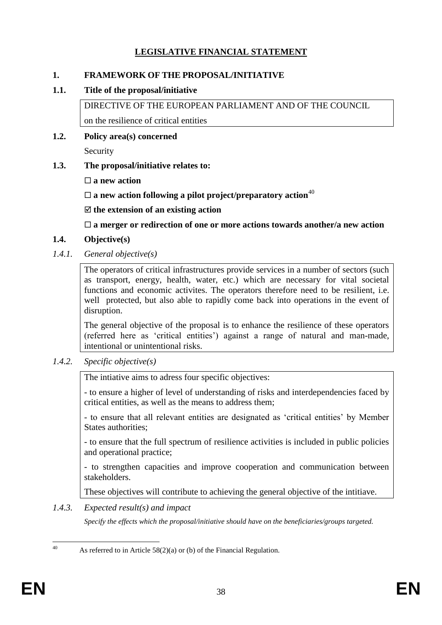## **LEGISLATIVE FINANCIAL STATEMENT**

#### **1. FRAMEWORK OF THE PROPOSAL/INITIATIVE**

#### **1.1. Title of the proposal/initiative**

DIRECTIVE OF THE EUROPEAN PARLIAMENT AND OF THE COUNCIL on the resilience of critical entities

**1.2. Policy area(s) concerned**

Security

- **1.3. The proposal/initiative relates to:** 
	- **a new action**

 $\square$  a new action following a pilot project/preparatory action<sup>40</sup>

**the extension of an existing action**

**a merger or redirection of one or more actions towards another/a new action**

### **1.4. Objective(s)**

*1.4.1. General objective(s)*

The operators of critical infrastructures provide services in a number of sectors (such as transport, energy, health, water, etc.) which are necessary for vital societal functions and economic activites. The operators therefore need to be resilient, i.e. well protected, but also able to rapidly come back into operations in the event of disruption.

The general objective of the proposal is to enhance the resilience of these operators (referred here as 'critical entities') against a range of natural and man-made, intentional or unintentional risks.

*1.4.2. Specific objective(s)*

The intiative aims to adress four specific objectives:

- to ensure a higher of level of understanding of risks and interdependencies faced by critical entities, as well as the means to address them;

- to ensure that all relevant entities are designated as 'critical entities' by Member States authorities;

- to ensure that the full spectrum of resilience activities is included in public policies and operational practice;

- to strengthen capacities and improve cooperation and communication between stakeholders.

These objectives will contribute to achieving the general objective of the intitiave.

*1.4.3. Expected result(s) and impact*

*Specify the effects which the proposal/initiative should have on the beneficiaries/groups targeted.*

 $40$ As referred to in Article  $58(2)(a)$  or (b) of the Financial Regulation.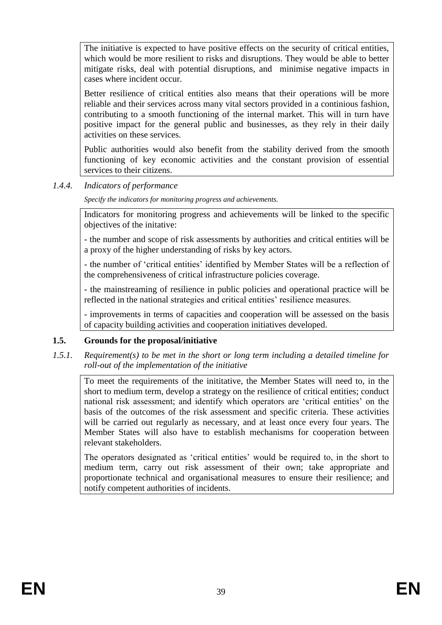The initiative is expected to have positive effects on the security of critical entities, which would be more resilient to risks and disruptions. They would be able to better mitigate risks, deal with potential disruptions, and minimise negative impacts in cases where incident occur.

Better resilience of critical entities also means that their operations will be more reliable and their services across many vital sectors provided in a continious fashion, contributing to a smooth functioning of the internal market. This will in turn have positive impact for the general public and businesses, as they rely in their daily activities on these services.

Public authorities would also benefit from the stability derived from the smooth functioning of key economic activities and the constant provision of essential services to their citizens.

### *1.4.4. Indicators of performance*

*Specify the indicators for monitoring progress and achievements.*

Indicators for monitoring progress and achievements will be linked to the specific objectives of the initative:

- the number and scope of risk assessments by authorities and critical entities will be a proxy of the higher understanding of risks by key actors.

- the number of 'critical entities' identified by Member States will be a reflection of the comprehensiveness of critical infrastructure policies coverage.

- the mainstreaming of resilience in public policies and operational practice will be reflected in the national strategies and critical entities' resilience measures.

- improvements in terms of capacities and cooperation will be assessed on the basis of capacity building activities and cooperation initiatives developed.

### **1.5. Grounds for the proposal/initiative**

*1.5.1. Requirement(s) to be met in the short or long term including a detailed timeline for roll-out of the implementation of the initiative*

To meet the requirements of the inititative, the Member States will need to, in the short to medium term, develop a strategy on the resilience of critical entities; conduct national risk assessment; and identify which operators are 'critical entities' on the basis of the outcomes of the risk assessment and specific criteria. These activities will be carried out regularly as necessary, and at least once every four years. The Member States will also have to establish mechanisms for cooperation between relevant stakeholders.

The operators designated as 'critical entities' would be required to, in the short to medium term, carry out risk assessment of their own; take appropriate and proportionate technical and organisational measures to ensure their resilience; and notify competent authorities of incidents.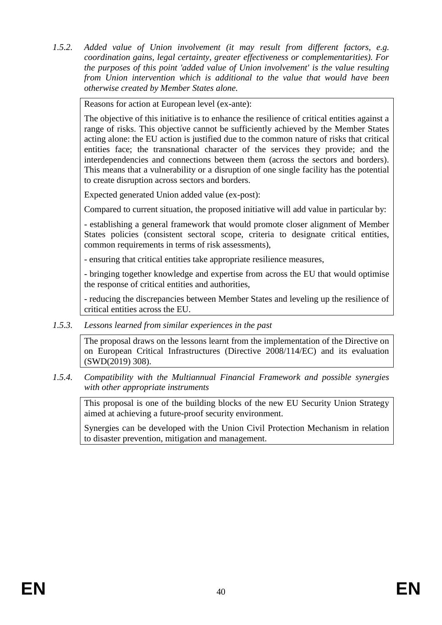*1.5.2. Added value of Union involvement (it may result from different factors, e.g. coordination gains, legal certainty, greater effectiveness or complementarities). For the purposes of this point 'added value of Union involvement' is the value resulting from Union intervention which is additional to the value that would have been otherwise created by Member States alone.*

Reasons for action at European level (ex-ante):

The objective of this initiative is to enhance the resilience of critical entities against a range of risks. This objective cannot be sufficiently achieved by the Member States acting alone: the EU action is justified due to the common nature of risks that critical entities face; the transnational character of the services they provide; and the interdependencies and connections between them (across the sectors and borders). This means that a vulnerability or a disruption of one single facility has the potential to create disruption across sectors and borders.

Expected generated Union added value (ex-post):

Compared to current situation, the proposed initiative will add value in particular by:

- establishing a general framework that would promote closer alignment of Member States policies (consistent sectoral scope, criteria to designate critical entities, common requirements in terms of risk assessments),

- ensuring that critical entities take appropriate resilience measures,

- bringing together knowledge and expertise from across the EU that would optimise the response of critical entities and authorities,

- reducing the discrepancies between Member States and leveling up the resilience of critical entities across the EU.

*1.5.3. Lessons learned from similar experiences in the past*

The proposal draws on the lessons learnt from the implementation of the Directive on on European Critical Infrastructures (Directive 2008/114/EC) and its evaluation (SWD(2019) 308).

*1.5.4. Compatibility with the Multiannual Financial Framework and possible synergies with other appropriate instruments*

This proposal is one of the building blocks of the new EU Security Union Strategy aimed at achieving a future-proof security environment.

Synergies can be developed with the Union Civil Protection Mechanism in relation to disaster prevention, mitigation and management.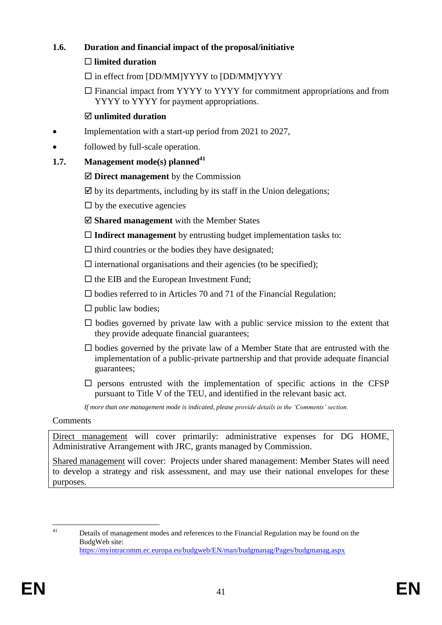## **1.6. Duration and financial impact of the proposal/initiative**

## **limited duration**

- $\square$  in effect from [DD/MM]YYYY to [DD/MM]YYYY
- $\Box$  Financial impact from YYYY to YYYY for commitment appropriations and from YYYY to YYYY for payment appropriations.

## **unlimited duration**

- Implementation with a start-up period from 2021 to 2027,
- followed by full-scale operation.

## **1.7. Management mode(s) planned<sup>41</sup>**

- **Direct management** by the Commission
- $\boxtimes$  by its departments, including by its staff in the Union delegations;
- $\square$  by the executive agencies
- **Shared management** with the Member States
- **Indirect management** by entrusting budget implementation tasks to:
- $\Box$  third countries or the bodies they have designated;
- $\Box$  international organisations and their agencies (to be specified);
- $\square$  the EIB and the European Investment Fund;
- $\square$  bodies referred to in Articles 70 and 71 of the Financial Regulation;
- $\square$  public law bodies;
- $\square$  bodies governed by private law with a public service mission to the extent that they provide adequate financial guarantees;
- $\square$  bodies governed by the private law of a Member State that are entrusted with the implementation of a public-private partnership and that provide adequate financial guarantees;
- $\square$  persons entrusted with the implementation of specific actions in the CFSP pursuant to Title V of the TEU, and identified in the relevant basic act.

*If more than one management mode is indicated, please provide details in the 'Comments' section.*

### Comments

Direct management will cover primarily: administrative expenses for DG HOME, Administrative Arrangement with JRC, grants managed by Commission.

Shared management will cover: Projects under shared management: Member States will need to develop a strategy and risk assessment, and may use their national envelopes for these purposes.

 $\overline{41}$ Details of management modes and references to the Financial Regulation may be found on the BudgWeb site: <https://myintracomm.ec.europa.eu/budgweb/EN/man/budgmanag/Pages/budgmanag.aspx>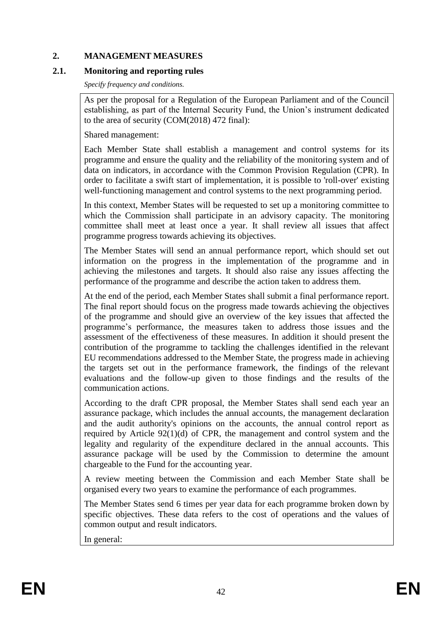### **2. MANAGEMENT MEASURES**

### **2.1. Monitoring and reporting rules**

*Specify frequency and conditions.*

As per the proposal for a Regulation of the European Parliament and of the Council establishing, as part of the Internal Security Fund, the Union's instrument dedicated to the area of security (COM(2018) 472 final):

Shared management:

Each Member State shall establish a management and control systems for its programme and ensure the quality and the reliability of the monitoring system and of data on indicators, in accordance with the Common Provision Regulation (CPR). In order to facilitate a swift start of implementation, it is possible to 'roll-over' existing well-functioning management and control systems to the next programming period.

In this context, Member States will be requested to set up a monitoring committee to which the Commission shall participate in an advisory capacity. The monitoring committee shall meet at least once a year. It shall review all issues that affect programme progress towards achieving its objectives.

The Member States will send an annual performance report, which should set out information on the progress in the implementation of the programme and in achieving the milestones and targets. It should also raise any issues affecting the performance of the programme and describe the action taken to address them.

At the end of the period, each Member States shall submit a final performance report. The final report should focus on the progress made towards achieving the objectives of the programme and should give an overview of the key issues that affected the programme's performance, the measures taken to address those issues and the assessment of the effectiveness of these measures. In addition it should present the contribution of the programme to tackling the challenges identified in the relevant EU recommendations addressed to the Member State, the progress made in achieving the targets set out in the performance framework, the findings of the relevant evaluations and the follow-up given to those findings and the results of the communication actions.

According to the draft CPR proposal, the Member States shall send each year an assurance package, which includes the annual accounts, the management declaration and the audit authority's opinions on the accounts, the annual control report as required by Article 92(1)(d) of CPR, the management and control system and the legality and regularity of the expenditure declared in the annual accounts. This assurance package will be used by the Commission to determine the amount chargeable to the Fund for the accounting year.

A review meeting between the Commission and each Member State shall be organised every two years to examine the performance of each programmes.

The Member States send 6 times per year data for each programme broken down by specific objectives. These data refers to the cost of operations and the values of common output and result indicators.

In general: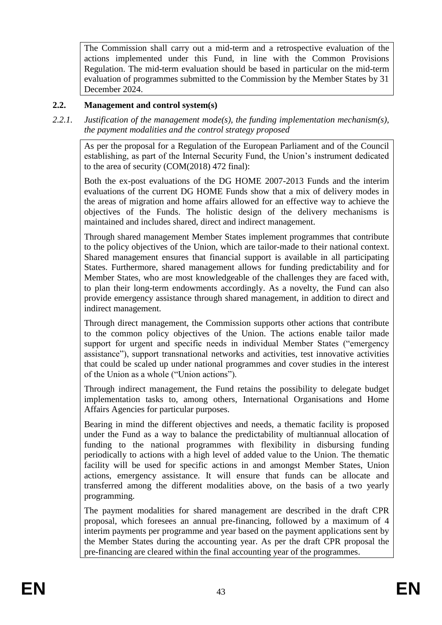The Commission shall carry out a mid-term and a retrospective evaluation of the actions implemented under this Fund, in line with the Common Provisions Regulation. The mid-term evaluation should be based in particular on the mid-term evaluation of programmes submitted to the Commission by the Member States by 31 December 2024.

### **2.2. Management and control system(s)**

*2.2.1. Justification of the management mode(s), the funding implementation mechanism(s), the payment modalities and the control strategy proposed*

As per the proposal for a Regulation of the European Parliament and of the Council establishing, as part of the Internal Security Fund, the Union's instrument dedicated to the area of security (COM(2018) 472 final):

Both the ex-post evaluations of the DG HOME 2007-2013 Funds and the interim evaluations of the current DG HOME Funds show that a mix of delivery modes in the areas of migration and home affairs allowed for an effective way to achieve the objectives of the Funds. The holistic design of the delivery mechanisms is maintained and includes shared, direct and indirect management.

Through shared management Member States implement programmes that contribute to the policy objectives of the Union, which are tailor-made to their national context. Shared management ensures that financial support is available in all participating States. Furthermore, shared management allows for funding predictability and for Member States, who are most knowledgeable of the challenges they are faced with, to plan their long-term endowments accordingly. As a novelty, the Fund can also provide emergency assistance through shared management, in addition to direct and indirect management.

Through direct management, the Commission supports other actions that contribute to the common policy objectives of the Union. The actions enable tailor made support for urgent and specific needs in individual Member States ("emergency assistance"), support transnational networks and activities, test innovative activities that could be scaled up under national programmes and cover studies in the interest of the Union as a whole ("Union actions").

Through indirect management, the Fund retains the possibility to delegate budget implementation tasks to, among others, International Organisations and Home Affairs Agencies for particular purposes.

Bearing in mind the different objectives and needs, a thematic facility is proposed under the Fund as a way to balance the predictability of multiannual allocation of funding to the national programmes with flexibility in disbursing funding periodically to actions with a high level of added value to the Union. The thematic facility will be used for specific actions in and amongst Member States, Union actions, emergency assistance. It will ensure that funds can be allocate and transferred among the different modalities above, on the basis of a two yearly programming.

The payment modalities for shared management are described in the draft CPR proposal, which foresees an annual pre-financing, followed by a maximum of 4 interim payments per programme and year based on the payment applications sent by the Member States during the accounting year. As per the draft CPR proposal the pre-financing are cleared within the final accounting year of the programmes.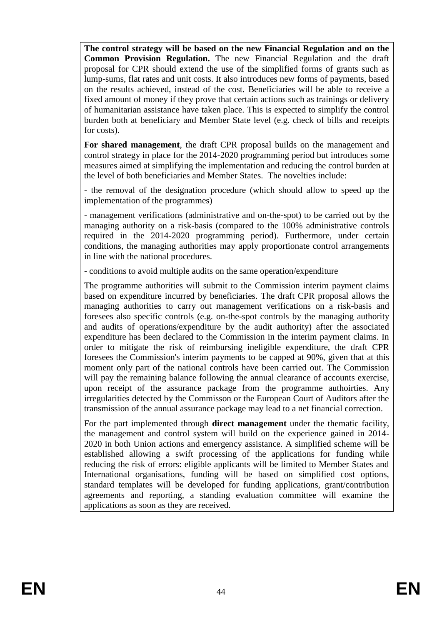**The control strategy will be based on the new Financial Regulation and on the Common Provision Regulation.** The new Financial Regulation and the draft proposal for CPR should extend the use of the simplified forms of grants such as lump-sums, flat rates and unit costs. It also introduces new forms of payments, based on the results achieved, instead of the cost. Beneficiaries will be able to receive a fixed amount of money if they prove that certain actions such as trainings or delivery of humanitarian assistance have taken place. This is expected to simplify the control burden both at beneficiary and Member State level (e.g. check of bills and receipts for costs).

**For shared management**, the draft CPR proposal builds on the management and control strategy in place for the 2014-2020 programming period but introduces some measures aimed at simplifying the implementation and reducing the control burden at the level of both beneficiaries and Member States. The novelties include:

- the removal of the designation procedure (which should allow to speed up the implementation of the programmes)

- management verifications (administrative and on-the-spot) to be carried out by the managing authority on a risk-basis (compared to the 100% administrative controls required in the 2014-2020 programming period). Furthermore, under certain conditions, the managing authorities may apply proportionate control arrangements in line with the national procedures.

- conditions to avoid multiple audits on the same operation/expenditure

The programme authorities will submit to the Commission interim payment claims based on expenditure incurred by beneficiaries. The draft CPR proposal allows the managing authorities to carry out management verifications on a risk-basis and foresees also specific controls (e.g. on-the-spot controls by the managing authority and audits of operations/expenditure by the audit authority) after the associated expenditure has been declared to the Commission in the interim payment claims. In order to mitigate the risk of reimbursing ineligible expenditure, the draft CPR foresees the Commission's interim payments to be capped at 90%, given that at this moment only part of the national controls have been carried out. The Commission will pay the remaining balance following the annual clearance of accounts exercise, upon receipt of the assurance package from the programme authoirties. Any irregularities detected by the Commisson or the European Court of Auditors after the transmission of the annual assurance package may lead to a net financial correction.

For the part implemented through **direct management** under the thematic facility, the management and control system will build on the experience gained in 2014- 2020 in both Union actions and emergency assistance. A simplified scheme will be established allowing a swift processing of the applications for funding while reducing the risk of errors: eligible applicants will be limited to Member States and International organisations, funding will be based on simplified cost options, standard templates will be developed for funding applications, grant/contribution agreements and reporting, a standing evaluation committee will examine the applications as soon as they are received.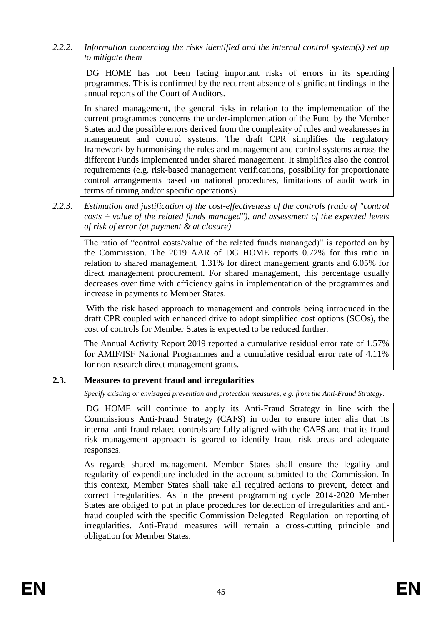*2.2.2. Information concerning the risks identified and the internal control system(s) set up to mitigate them*

DG HOME has not been facing important risks of errors in its spending programmes. This is confirmed by the recurrent absence of significant findings in the annual reports of the Court of Auditors.

In shared management, the general risks in relation to the implementation of the current programmes concerns the under-implementation of the Fund by the Member States and the possible errors derived from the complexity of rules and weaknesses in management and control systems. The draft CPR simplifies the regulatory framework by harmonising the rules and management and control systems across the different Funds implemented under shared management. It simplifies also the control requirements (e.g. risk-based management verifications, possibility for proportionate control arrangements based on national procedures, limitations of audit work in terms of timing and/or specific operations).

*2.2.3. Estimation and justification of the cost-effectiveness of the controls (ratio of "control costs ÷ value of the related funds managed"), and assessment of the expected levels of risk of error (at payment & at closure)* 

The ratio of "control costs/value of the related funds mananged)" is reported on by the Commission. The 2019 AAR of DG HOME reports 0.72% for this ratio in relation to shared management, 1.31% for direct management grants and 6.05% for direct management procurement. For shared management, this percentage usually decreases over time with efficiency gains in implementation of the programmes and increase in payments to Member States.

With the risk based approach to management and controls being introduced in the draft CPR coupled with enhanced drive to adopt simplified cost options (SCOs), the cost of controls for Member States is expected to be reduced further.

The Annual Activity Report 2019 reported a cumulative residual error rate of 1.57% for AMIF/ISF National Programmes and a cumulative residual error rate of 4.11% for non-research direct management grants.

## **2.3. Measures to prevent fraud and irregularities**

*Specify existing or envisaged prevention and protection measures, e.g. from the Anti-Fraud Strategy.*

DG HOME will continue to apply its Anti-Fraud Strategy in line with the Commission's Anti-Fraud Strategy (CAFS) in order to ensure inter alia that its internal anti-fraud related controls are fully aligned with the CAFS and that its fraud risk management approach is geared to identify fraud risk areas and adequate responses.

As regards shared management, Member States shall ensure the legality and regularity of expenditure included in the account submitted to the Commission. In this context, Member States shall take all required actions to prevent, detect and correct irregularities. As in the present programming cycle 2014-2020 Member States are obliged to put in place procedures for detection of irregularities and antifraud coupled with the specific Commission Delegated Regulation on reporting of irregularities. Anti-Fraud measures will remain a cross-cutting principle and obligation for Member States.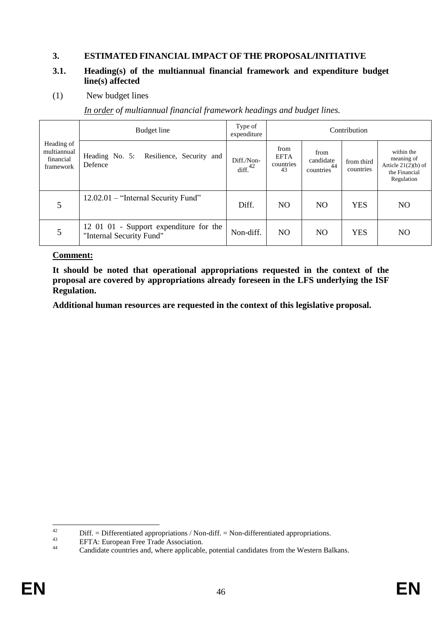## **3. ESTIMATED FINANCIAL IMPACT OF THE PROPOSAL/INITIATIVE**

#### **3.1. Heading(s) of the multiannual financial framework and expenditure budget line(s) affected**

(1) New budget lines

*In order of multiannual financial framework headings and budget lines.*

|                                                     | Budget line                                                        | Type of<br>expenditure            | Contribution                           |                                              |                         |                                                                                  |  |  |  |
|-----------------------------------------------------|--------------------------------------------------------------------|-----------------------------------|----------------------------------------|----------------------------------------------|-------------------------|----------------------------------------------------------------------------------|--|--|--|
| Heading of<br>multiannual<br>financial<br>framework | Resilience, Security and<br>Heading No. 5:<br>Defence              | Diff./Non-<br>diff. <sup>42</sup> | from<br><b>EFTA</b><br>countries<br>43 | from<br>candidate<br>countries <sup>44</sup> | from third<br>countries | within the<br>meaning of<br>Article $21(2)(b)$ of<br>the Financial<br>Regulation |  |  |  |
| 5                                                   | 12.02.01 – "Internal Security Fund"                                | Diff.                             | NO.                                    | N <sub>O</sub>                               | <b>YES</b>              | NO.                                                                              |  |  |  |
| 5                                                   | 12 01 01 - Support expenditure for the<br>"Internal Security Fund" | Non-diff.                         | NO.                                    | N <sub>O</sub>                               | <b>YES</b>              | NO.                                                                              |  |  |  |

#### **Comment:**

**It should be noted that operational appropriations requested in the context of the proposal are covered by appropriations already foreseen in the LFS underlying the ISF Regulation.** 

**Additional human resources are requested in the context of this legislative proposal.** 

<sup>42</sup> <sup>42</sup> Diff. = Differentiated appropriations / Non-diff. = Non-differentiated appropriations.<br><sup>43</sup> EETA: European Free Trede Association

<sup>43</sup> EFTA: European Free Trade Association.

Candidate countries and, where applicable, potential candidates from the Western Balkans.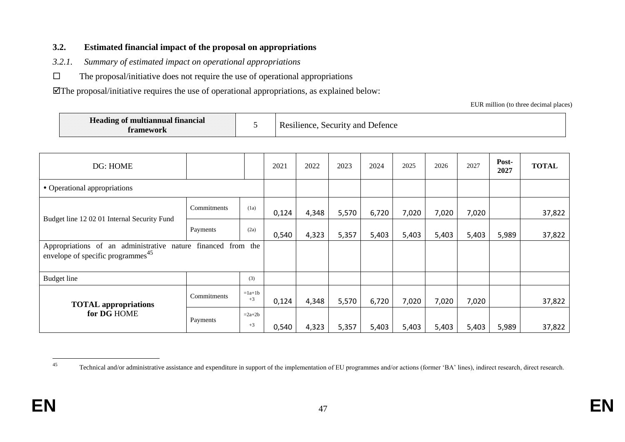#### **3.2. Estimated financial impact of the proposal on appropriations**

- *3.2.1. Summary of estimated impact on operational appropriations*
- $\square$  The proposal/initiative does not require the use of operational appropriations

The proposal/initiative requires the use of operational appropriations, as explained below:

EUR million (to three decimal places)

| <b>The State Co.</b><br>Heading of multiannual financial<br>ramework |  | ∠and-<br><b>Defence</b><br>ACULTITY)<br>≘nce |
|----------------------------------------------------------------------|--|----------------------------------------------|
|----------------------------------------------------------------------|--|----------------------------------------------|

| DG: HOME                                                                             |                 |                  | 2021  | 2022  | 2023  | 2024  | 2025  | 2026  | 2027  | Post-<br>2027 | <b>TOTAL</b> |
|--------------------------------------------------------------------------------------|-----------------|------------------|-------|-------|-------|-------|-------|-------|-------|---------------|--------------|
| • Operational appropriations                                                         |                 |                  |       |       |       |       |       |       |       |               |              |
| Budget line 12 02 01 Internal Security Fund                                          | Commitments     | (1a)             | 0,124 | 4,348 | 5,570 | 6,720 | 7,020 | 7,020 | 7,020 |               | 37,822       |
|                                                                                      | Payments        | (2a)             | 0,540 | 4,323 | 5,357 | 5,403 | 5,403 | 5,403 | 5,403 | 5,989         | 37,822       |
| Appropriations of an administrative<br>envelope of specific programmes <sup>45</sup> | nature financed | from the         |       |       |       |       |       |       |       |               |              |
| Budget line                                                                          |                 | (3)              |       |       |       |       |       |       |       |               |              |
| <b>TOTAL</b> appropriations                                                          | Commitments     | $=1a+1b$<br>$+3$ | 0,124 | 4,348 | 5,570 | 6,720 | 7,020 | 7,020 | 7,020 |               | 37,822       |
| for DG HOME                                                                          | Payments        | $=2a+2b$<br>$+3$ | 0,540 | 4,323 | 5,357 | 5,403 | 5,403 | 5,403 | 5,403 | 5,989         | 37,822       |

 $45$ Technical and/or administrative assistance and expenditure in support of the implementation of EU programmes and/or actions (former 'BA' lines), indirect research, direct research.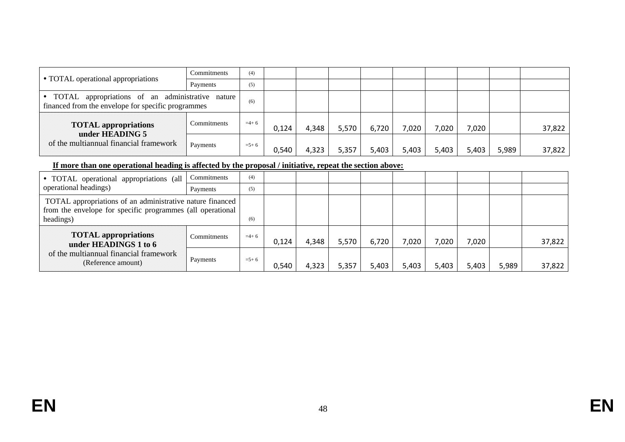|                                                                                                          | Commitments | (4)       |       |       |       |       |       |       |       |       |        |
|----------------------------------------------------------------------------------------------------------|-------------|-----------|-------|-------|-------|-------|-------|-------|-------|-------|--------|
| • TOTAL operational appropriations                                                                       | Payments    | (5)       |       |       |       |       |       |       |       |       |        |
| • TOTAL appropriations of an administrative nature<br>financed from the envelope for specific programmes |             |           |       |       |       |       |       |       |       |       |        |
| Commitments<br><b>TOTAL appropriations</b>                                                               |             | $=$ 4+6   | 0.124 | 4,348 | 5,570 | 6,720 | 7,020 | 7,020 | 7,020 |       | 37,822 |
| under HEADING 5<br>of the multiannual financial framework                                                | Payments    | $= 5 + 6$ | 0,540 | 4,323 | 5,357 | 5,403 | 5,403 | 5,403 | 5,403 | 5,989 | 37,822 |

#### **If more than one operational heading is affected by the proposal / initiative, repeat the section above:**

| • TOTAL operational appropriations (all                                                                                              | Commitments | (4)       |       |       |       |       |       |       |       |       |        |
|--------------------------------------------------------------------------------------------------------------------------------------|-------------|-----------|-------|-------|-------|-------|-------|-------|-------|-------|--------|
| operational headings)                                                                                                                | Payments    | (5)       |       |       |       |       |       |       |       |       |        |
| TOTAL appropriations of an administrative nature financed<br>from the envelope for specific programmes (all operational<br>headings) |             | (6)       |       |       |       |       |       |       |       |       |        |
| <b>TOTAL</b> appropriations<br>under HEADINGS 1 to 6                                                                                 | Commitments | $=4+6$    | 0.124 | 4,348 | 5,570 | 6,720 | 7,020 | 7,020 | 7,020 |       | 37,822 |
| of the multiannual financial framework<br>(Reference amount)                                                                         | Payments    | $= 5 + 6$ | 0,540 | 4,323 | 5,357 | 5,403 | 5,403 | 5,403 | 5,403 | 5,989 | 37,822 |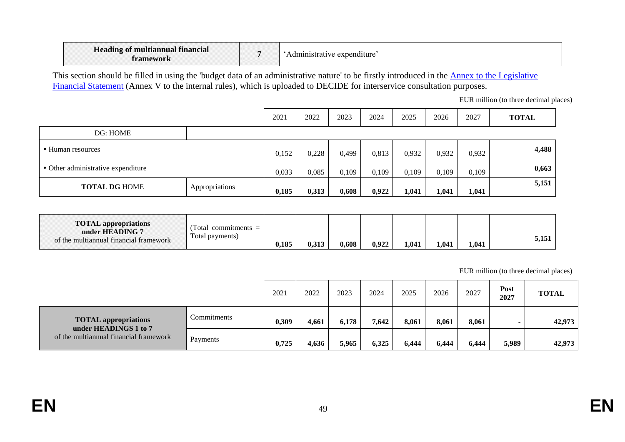| Heading of multiannual financial<br>tramework | `Administrative expenditure` |
|-----------------------------------------------|------------------------------|
|-----------------------------------------------|------------------------------|

This section should be filled in using the 'budget data of an administrative nature' to be firstly introduced in the Annex to the Legislative [Financial Statement](https://myintracomm.ec.europa.eu/budgweb/EN/leg/internal/Documents/2016-5-legislative-financial-statement-ann-en.docx) (Annex V to the internal rules), which is uploaded to DECIDE for interservice consultation purposes.

EUR million (to three decimal places)

|                                    |                | 2021  | 2022  | 2023  | 2024  | 2025  | 2026  | 2027  | <b>TOTAL</b> |
|------------------------------------|----------------|-------|-------|-------|-------|-------|-------|-------|--------------|
| DG: HOME                           |                |       |       |       |       |       |       |       |              |
| • Human resources                  |                | 0,152 | 0,228 | 0,499 | 0,813 | 0,932 | 0,932 | 0,932 | 4,488        |
| • Other administrative expenditure |                | 0,033 | 0,085 | 0,109 | 0,109 | 0,109 | 0,109 | 0,109 | 0,663        |
| <b>TOTAL DG HOME</b>               | Appropriations | 0,185 | 0,313 | 0,608 | 0,922 | 1,041 | 1,041 | 1,041 | 5,151        |

| <b>TOTAL</b> appropriations<br>under HEADING 7<br>of the multiannual financial framework | Fotal<br>$commitments =$<br>Total payments) | 0,185 | 0,313 | 0,608 | 0,922 | 1,041 | 1,041 | 1,041 | 151<br>5,151 |
|------------------------------------------------------------------------------------------|---------------------------------------------|-------|-------|-------|-------|-------|-------|-------|--------------|
|------------------------------------------------------------------------------------------|---------------------------------------------|-------|-------|-------|-------|-------|-------|-------|--------------|

EUR million (to three decimal places)

|                                                      |             | 2021  | 2022  | 2023  | 2024  | 2025  | 2026  | 2027  | Post<br>2027 | <b>TOTAL</b> |
|------------------------------------------------------|-------------|-------|-------|-------|-------|-------|-------|-------|--------------|--------------|
| <b>TOTAL appropriations</b><br>under HEADINGS 1 to 7 | Commitments | 0,309 | 4,661 | 6,178 | 7,642 | 8,061 | 8,061 | 8,061 |              | 42,973       |
| of the multiannual financial framework               | Payments    | 0,725 | 4,636 | 5,965 | 6,325 | 6,444 | 6,444 | 6,444 | 5,989        | 42,973       |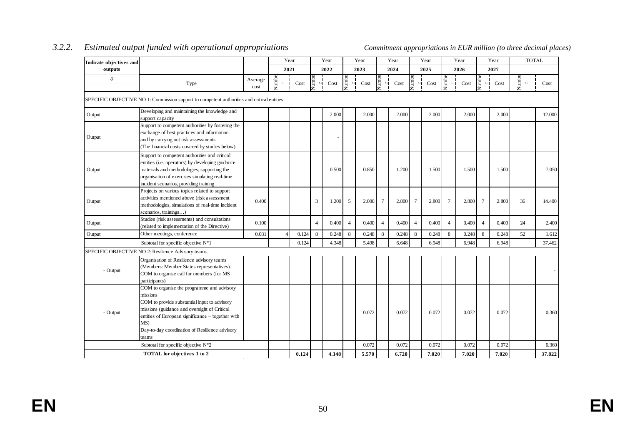| Indicate objectives and |                                                                                                                                                                                                                                                                               |                 | Year  |       |                        | Year  |                | Year  |                         | Year  |                | Year  |                 | Year  |                         | Year  | <b>TOTAL</b>            |        |
|-------------------------|-------------------------------------------------------------------------------------------------------------------------------------------------------------------------------------------------------------------------------------------------------------------------------|-----------------|-------|-------|------------------------|-------|----------------|-------|-------------------------|-------|----------------|-------|-----------------|-------|-------------------------|-------|-------------------------|--------|
| outputs                 |                                                                                                                                                                                                                                                                               |                 | 2021  |       |                        | 2022  |                | 2023  |                         | 2024  | 2025           |       |                 | 2026  |                         | 2027  |                         |        |
| ⇩                       | Type                                                                                                                                                                                                                                                                          | Average<br>cost | Numbe | Cost  | Numbe<br>$\rightarrow$ | Cost  | Numbe<br>۳Г    | Cost  | Vumbe<br>$\blacksquare$ | Cost  | lumbe<br>ЧΙ    | Cost  | Numbe<br>8∎     | Cost  | Numbe<br>$\blacksquare$ | Cost  | Numbe<br>$\blacksquare$ | Cost   |
|                         | SPECIFIC OBJECTIVE NO 1: Commission support to competent authorities and critical entities                                                                                                                                                                                    |                 |       |       |                        |       |                |       |                         |       |                |       |                 |       |                         |       |                         |        |
| Output                  | Developing and maintaining the knowledge and<br>support capacity                                                                                                                                                                                                              |                 |       |       |                        | 2.000 |                | 2.000 |                         | 2.000 |                | 2.000 |                 | 2.000 |                         | 2.000 |                         | 12.000 |
| Output                  | Support to competent authorities by fostering the<br>exchange of best practices and information<br>and by carrying out risk assessments<br>(The financial costs covered by studies below)                                                                                     |                 |       |       |                        |       |                |       |                         |       |                |       |                 |       |                         |       |                         |        |
| Output                  | Support to competent authorities and critical<br>entities (i.e. operators) by developing guidance<br>materials and methodologies, supporting the<br>organisation of exercises simulating real-time<br>incident scenarios, providing training                                  |                 |       |       |                        | 0.500 |                | 0.850 |                         | 1.200 |                | 1.500 |                 | 1.500 |                         | 1.500 |                         | 7.050  |
| Output                  | Projects on various topics related to support<br>activities mentioned above (risk assessment<br>methodologies, simulations of real-time incident<br>scenarios, trainings)                                                                                                     | 0.400           |       |       | 3                      | 1.200 | 5              | 2.000 | $\overline{7}$          | 2.800 | $\tau$         | 2.800 | $7\phantom{.0}$ | 2.800 | 7                       | 2.800 | 36                      | 14.400 |
| Output                  | Studies (risk assessments) and consultations<br>(related to implementation of the Directive)                                                                                                                                                                                  | 0.100           |       |       | $\overline{4}$         | 0.400 | $\overline{4}$ | 0.400 | $\overline{4}$          | 0.400 | $\overline{4}$ | 0.400 | $\overline{4}$  | 0.400 | $\overline{4}$          | 0.400 | 24                      | 2.400  |
| Output                  | Other meetings, conference                                                                                                                                                                                                                                                    | 0.031           |       | 0.124 | 8                      | 0.248 | 8              | 0.248 | 8                       | 0.248 | 8              | 0.248 | 8               | 0.248 | 8                       | 0.248 | 52                      | 1.612  |
|                         | Subtotal for specific objective $N^{\circ}1$                                                                                                                                                                                                                                  |                 |       | 0.124 |                        | 4.348 |                | 5.498 |                         | 6.648 |                | 6.948 |                 | 6.948 |                         | 6.948 |                         | 37.462 |
|                         | SPECIFIC OBJECTIVE NO 2: Resilience Advisory teams                                                                                                                                                                                                                            |                 |       |       |                        |       |                |       |                         |       |                |       |                 |       |                         |       |                         |        |
| - Output                | Organisation of Resilience advisory teams<br>(Members: Member States representatives).<br>COM to organise call for members (for MS<br>participants)                                                                                                                           |                 |       |       |                        |       |                |       |                         |       |                |       |                 |       |                         |       |                         |        |
| - Output                | COM to organise the programme and advisory<br>missions<br>COM to provide substantial input to advisory<br>missions (guidance and oversight of Critical<br>entities of European significance - together with<br>MS)<br>Day-to-day coordination of Resilience advisory<br>teams |                 |       |       |                        |       |                | 0.072 |                         | 0.072 |                | 0.072 |                 | 0.072 |                         | 0.072 |                         | 0.360  |
|                         | Subtotal for specific objective N°2                                                                                                                                                                                                                                           |                 |       |       |                        |       |                | 0.072 |                         | 0.072 |                | 0.072 |                 | 0.072 |                         | 0.072 |                         | 0.360  |
|                         | <b>TOTAL</b> for objectives 1 to 2                                                                                                                                                                                                                                            |                 |       | 0.124 |                        | 4.348 |                | 5.570 |                         | 6.720 |                | 7.020 |                 | 7.020 |                         | 7.020 |                         | 37.822 |

## *3.2.2. Estimated output funded with operational appropriations Commitment appropriations in EUR million (to three decimal places)*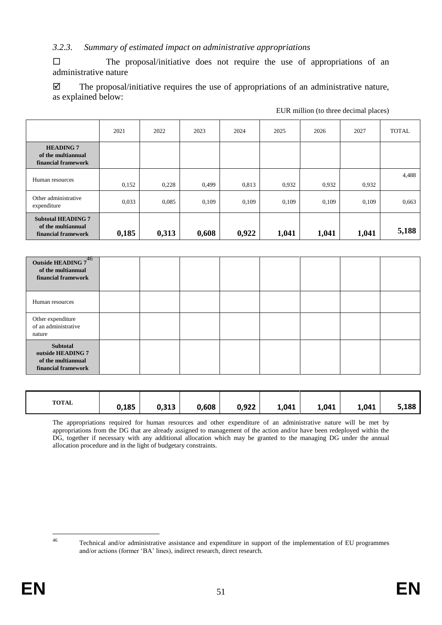#### *3.2.3. Summary of estimated impact on administrative appropriations*

 $\square$  The proposal/initiative does not require the use of appropriations of an administrative nature

 $\boxtimes$  The proposal/initiative requires the use of appropriations of an administrative nature, as explained below:

|                                                                        | 2021  | 2022  | 2023  | 2024  | 2025  | 2026  | 2027  | <b>TOTAL</b> |
|------------------------------------------------------------------------|-------|-------|-------|-------|-------|-------|-------|--------------|
| <b>HEADING 7</b><br>of the multiannual<br>financial framework          |       |       |       |       |       |       |       |              |
| Human resources                                                        | 0,152 | 0,228 | 0,499 | 0.813 | 0,932 | 0,932 | 0,932 | 4,488        |
| Other administrative<br>expenditure                                    | 0,033 | 0,085 | 0,109 | 0,109 | 0,109 | 0,109 | 0,109 | 0,663        |
| <b>Subtotal HEADING 7</b><br>of the multiannual<br>financial framework | 0,185 | 0,313 | 0,608 | 0,922 | 1,041 | 1,041 | 1,041 | 5,188        |

| Outside HEADING 746<br>of the multiannual<br>financial framework           |  |  |  |  |
|----------------------------------------------------------------------------|--|--|--|--|
| Human resources                                                            |  |  |  |  |
| Other expenditure<br>of an administrative<br>nature                        |  |  |  |  |
| Subtotal<br>outside HEADING 7<br>of the multiannual<br>financial framework |  |  |  |  |

| <b>TOTAL</b> | 0,185 | 0,313 | 0,608 | 0,922 | 1,041 | 1,041 | 1,041 | 5,188 |
|--------------|-------|-------|-------|-------|-------|-------|-------|-------|
|              |       |       |       |       |       |       |       |       |

The appropriations required for human resources and other expenditure of an administrative nature will be met by appropriations from the DG that are already assigned to management of the action and/or have been redeployed within the DG, together if necessary with any additional allocation which may be granted to the managing DG under the annual allocation procedure and in the light of budgetary constraints.

 $46$ 

Technical and/or administrative assistance and expenditure in support of the implementation of EU programmes and/or actions (former 'BA' lines), indirect research, direct research.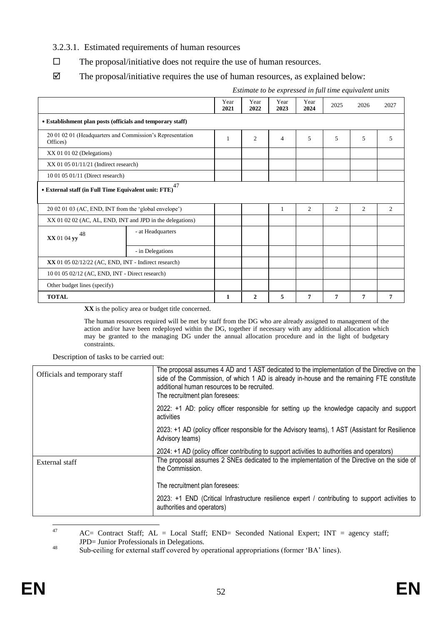#### 3.2.3.1. Estimated requirements of human resources

- $\Box$  The proposal/initiative does not require the use of human resources.
- $\boxtimes$  The proposal/initiative requires the use of human resources, as explained below:

|                                                                           |                                                        |              |                |              |              | Estimate to be expressed in full time equivalent units |      |      |  |  |
|---------------------------------------------------------------------------|--------------------------------------------------------|--------------|----------------|--------------|--------------|--------------------------------------------------------|------|------|--|--|
|                                                                           |                                                        | Year<br>2021 | Year<br>2022   | Year<br>2023 | Year<br>2024 | 2025                                                   | 2026 | 2027 |  |  |
| • Establishment plan posts (officials and temporary staff)                |                                                        |              |                |              |              |                                                        |      |      |  |  |
| 20 01 02 01 (Headquarters and Commission's Representation<br>Offices)     | 1                                                      | 2            | $\overline{4}$ | 5            | 5            | 5                                                      | 5    |      |  |  |
| XX 01 01 02 (Delegations)                                                 |                                                        |              |                |              |              |                                                        |      |      |  |  |
| $XX$ 01 05 01/11/21 (Indirect research)                                   |                                                        |              |                |              |              |                                                        |      |      |  |  |
| 10 01 05 01/11 (Direct research)                                          |                                                        |              |                |              |              |                                                        |      |      |  |  |
| $\bullet$ External staff (in Full Time Equivalent unit: ${\rm FTE)}^{47}$ |                                                        |              |                |              |              |                                                        |      |      |  |  |
| 20 02 01 03 (AC, END, INT from the 'global envelope')                     |                                                        |              |                | $\mathbf{1}$ | 2            | 2                                                      | 2    | 2    |  |  |
| XX 01 02 02 (AC, AL, END, INT and JPD in the delegations)                 |                                                        |              |                |              |              |                                                        |      |      |  |  |
| 48<br><b>XX</b> 01 04 yy                                                  | - at Headquarters                                      |              |                |              |              |                                                        |      |      |  |  |
|                                                                           | - in Delegations                                       |              |                |              |              |                                                        |      |      |  |  |
|                                                                           | $XX$ 01 05 02/12/22 (AC, END, INT - Indirect research) |              |                |              |              |                                                        |      |      |  |  |
| 10 01 05 02/12 (AC, END, INT - Direct research)                           |                                                        |              |                |              |              |                                                        |      |      |  |  |
| Other budget lines (specify)                                              |                                                        |              |                |              |              |                                                        |      |      |  |  |
| <b>TOTAL</b>                                                              |                                                        | 1            | $\mathbf{2}$   | 5            | 7            | 7                                                      | 7    | 7    |  |  |

**XX** is the policy area or budget title concerned.

The human resources required will be met by staff from the DG who are already assigned to management of the action and/or have been redeployed within the DG, together if necessary with any additional allocation which may be granted to the managing DG under the annual allocation procedure and in the light of budgetary constraints.

Description of tasks to be carried out:

| Officials and temporary staff | The proposal assumes 4 AD and 1 AST dedicated to the implementation of the Directive on the<br>side of the Commission, of which 1 AD is already in-house and the remaining FTE constitute<br>additional human resources to be recruited.<br>The recruitment plan foresees: |  |  |  |  |  |
|-------------------------------|----------------------------------------------------------------------------------------------------------------------------------------------------------------------------------------------------------------------------------------------------------------------------|--|--|--|--|--|
|                               | 2022: +1 AD: policy officer responsible for setting up the knowledge capacity and support<br>activities                                                                                                                                                                    |  |  |  |  |  |
|                               | 2023: +1 AD (policy officer responsible for the Advisory teams), 1 AST (Assistant for Resilience<br>Advisory teams)                                                                                                                                                        |  |  |  |  |  |
| External staff                | 2024: +1 AD (policy officer contributing to support activities to authorities and operators)<br>The proposal assumes 2 SNEs dedicated to the implementation of the Directive on the side of<br>the Commission.                                                             |  |  |  |  |  |
|                               | The recruitment plan foresees:                                                                                                                                                                                                                                             |  |  |  |  |  |
|                               | 2023: $+1$ END (Critical Infrastructure resilience expert / contributing to support activities to<br>authorities and operators)                                                                                                                                            |  |  |  |  |  |

<sup>47</sup> AC= Contract Staff; AL = Local Staff; END= Seconded National Expert; INT = agency staff; JPD= Junior Professionals in Delegations.

<sup>48</sup> Sub-ceiling for external staff covered by operational appropriations (former 'BA' lines).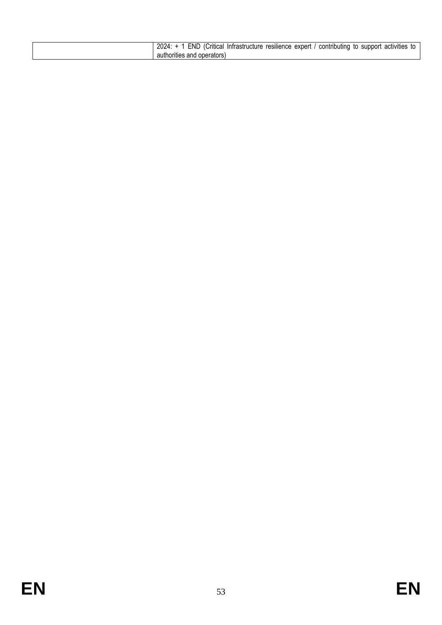| 2024<br>FND.<br>expert<br>resilience<br>contributing<br>'Critical<br>activities<br>: Intrastructure<br>support<br>to |
|----------------------------------------------------------------------------------------------------------------------|
| authorities and operators)                                                                                           |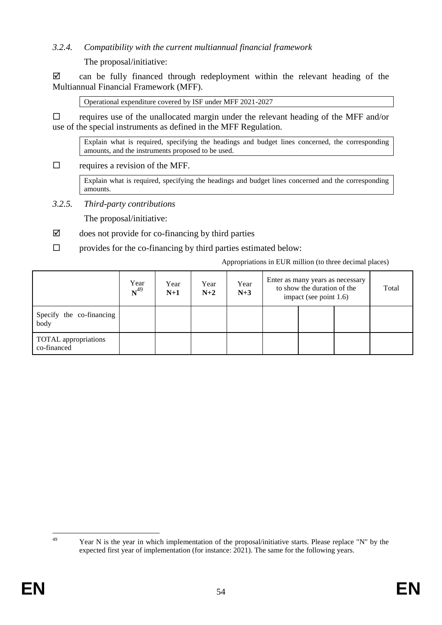#### *3.2.4. Compatibility with the current multiannual financial framework*

The proposal/initiative:

 $\boxtimes$  can be fully financed through redeployment within the relevant heading of the Multiannual Financial Framework (MFF).

Operational expenditure covered by ISF under MFF 2021-2027

 requires use of the unallocated margin under the relevant heading of the MFF and/or use of the special instruments as defined in the MFF Regulation.

Explain what is required, specifying the headings and budget lines concerned, the corresponding amounts, and the instruments proposed to be used.

 $\Box$  requires a revision of the MFF.

Explain what is required, specifying the headings and budget lines concerned and the corresponding amounts.

*3.2.5. Third-party contributions* 

The proposal/initiative:

- $\boxtimes$  does not provide for co-financing by third parties
- $\square$  provides for the co-financing by third parties estimated below:

Appropriations in EUR million (to three decimal places)

|                                            | Year<br>$N^{49}$ | Year<br>$N+1$ | Year<br>$N+2$ | Year<br>$N+3$ | Enter as many years as necessary<br>to show the duration of the<br>impact (see point 1.6) |  |  | Total |
|--------------------------------------------|------------------|---------------|---------------|---------------|-------------------------------------------------------------------------------------------|--|--|-------|
| Specify the co-financing<br>body           |                  |               |               |               |                                                                                           |  |  |       |
| <b>TOTAL</b> appropriations<br>co-financed |                  |               |               |               |                                                                                           |  |  |       |

49

Year N is the year in which implementation of the proposal/initiative starts. Please replace "N" by the expected first year of implementation (for instance:  $2021$ ). The same for the following years.